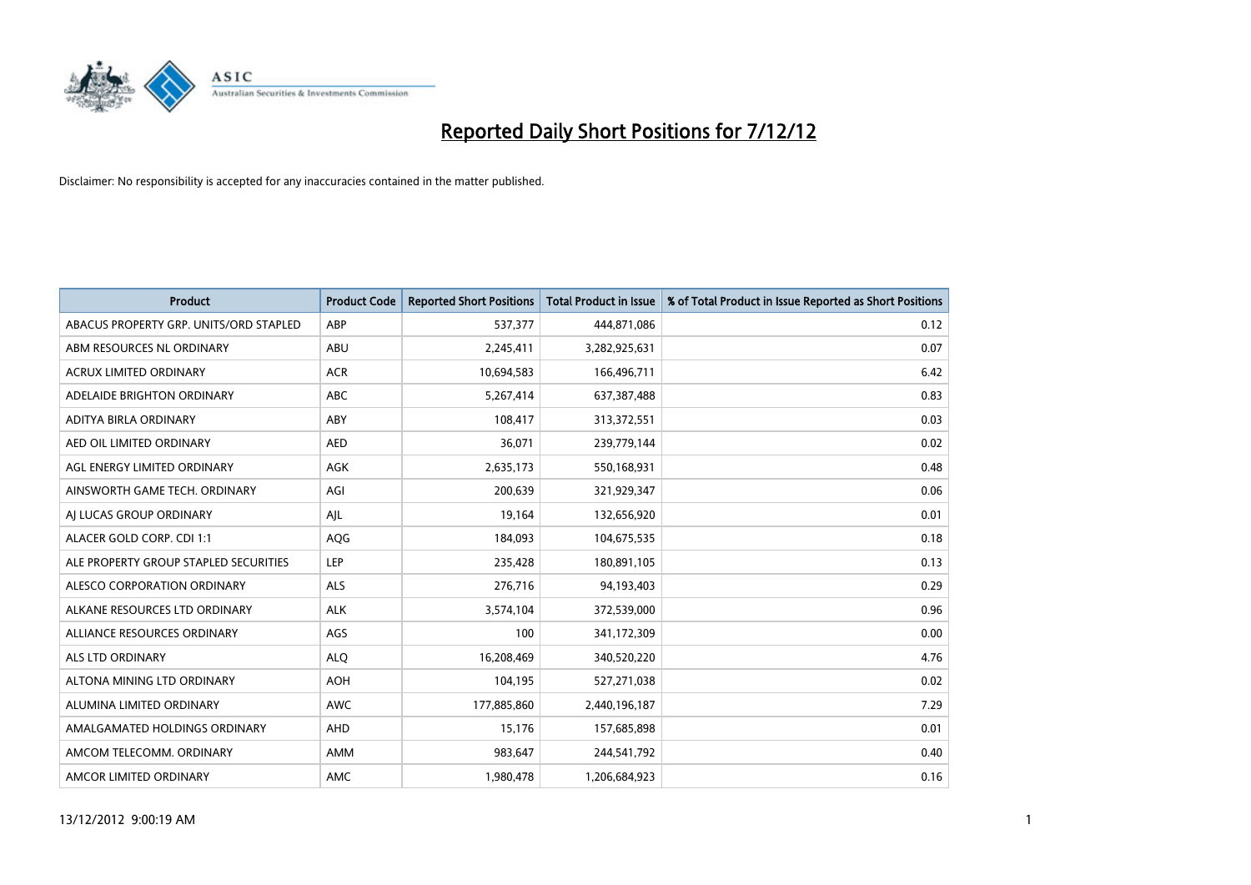

| <b>Product</b>                         | <b>Product Code</b> | <b>Reported Short Positions</b> | <b>Total Product in Issue</b> | % of Total Product in Issue Reported as Short Positions |
|----------------------------------------|---------------------|---------------------------------|-------------------------------|---------------------------------------------------------|
| ABACUS PROPERTY GRP. UNITS/ORD STAPLED | ABP                 | 537,377                         | 444,871,086                   | 0.12                                                    |
| ABM RESOURCES NL ORDINARY              | ABU                 | 2,245,411                       | 3,282,925,631                 | 0.07                                                    |
| <b>ACRUX LIMITED ORDINARY</b>          | <b>ACR</b>          | 10,694,583                      | 166,496,711                   | 6.42                                                    |
| ADELAIDE BRIGHTON ORDINARY             | <b>ABC</b>          | 5,267,414                       | 637,387,488                   | 0.83                                                    |
| <b>ADITYA BIRLA ORDINARY</b>           | ABY                 | 108,417                         | 313,372,551                   | 0.03                                                    |
| AED OIL LIMITED ORDINARY               | <b>AED</b>          | 36,071                          | 239,779,144                   | 0.02                                                    |
| AGL ENERGY LIMITED ORDINARY            | AGK                 | 2,635,173                       | 550,168,931                   | 0.48                                                    |
| AINSWORTH GAME TECH. ORDINARY          | AGI                 | 200,639                         | 321,929,347                   | 0.06                                                    |
| AI LUCAS GROUP ORDINARY                | AJL                 | 19,164                          | 132,656,920                   | 0.01                                                    |
| ALACER GOLD CORP. CDI 1:1              | AQG                 | 184,093                         | 104,675,535                   | 0.18                                                    |
| ALE PROPERTY GROUP STAPLED SECURITIES  | LEP                 | 235,428                         | 180,891,105                   | 0.13                                                    |
| <b>ALESCO CORPORATION ORDINARY</b>     | <b>ALS</b>          | 276,716                         | 94,193,403                    | 0.29                                                    |
| ALKANE RESOURCES LTD ORDINARY          | <b>ALK</b>          | 3,574,104                       | 372,539,000                   | 0.96                                                    |
| ALLIANCE RESOURCES ORDINARY            | AGS                 | 100                             | 341,172,309                   | 0.00                                                    |
| <b>ALS LTD ORDINARY</b>                | <b>ALQ</b>          | 16,208,469                      | 340,520,220                   | 4.76                                                    |
| ALTONA MINING LTD ORDINARY             | <b>AOH</b>          | 104,195                         | 527,271,038                   | 0.02                                                    |
| ALUMINA LIMITED ORDINARY               | <b>AWC</b>          | 177,885,860                     | 2,440,196,187                 | 7.29                                                    |
| AMALGAMATED HOLDINGS ORDINARY          | <b>AHD</b>          | 15,176                          | 157,685,898                   | 0.01                                                    |
| AMCOM TELECOMM. ORDINARY               | AMM                 | 983,647                         | 244,541,792                   | 0.40                                                    |
| AMCOR LIMITED ORDINARY                 | AMC                 | 1,980,478                       | 1,206,684,923                 | 0.16                                                    |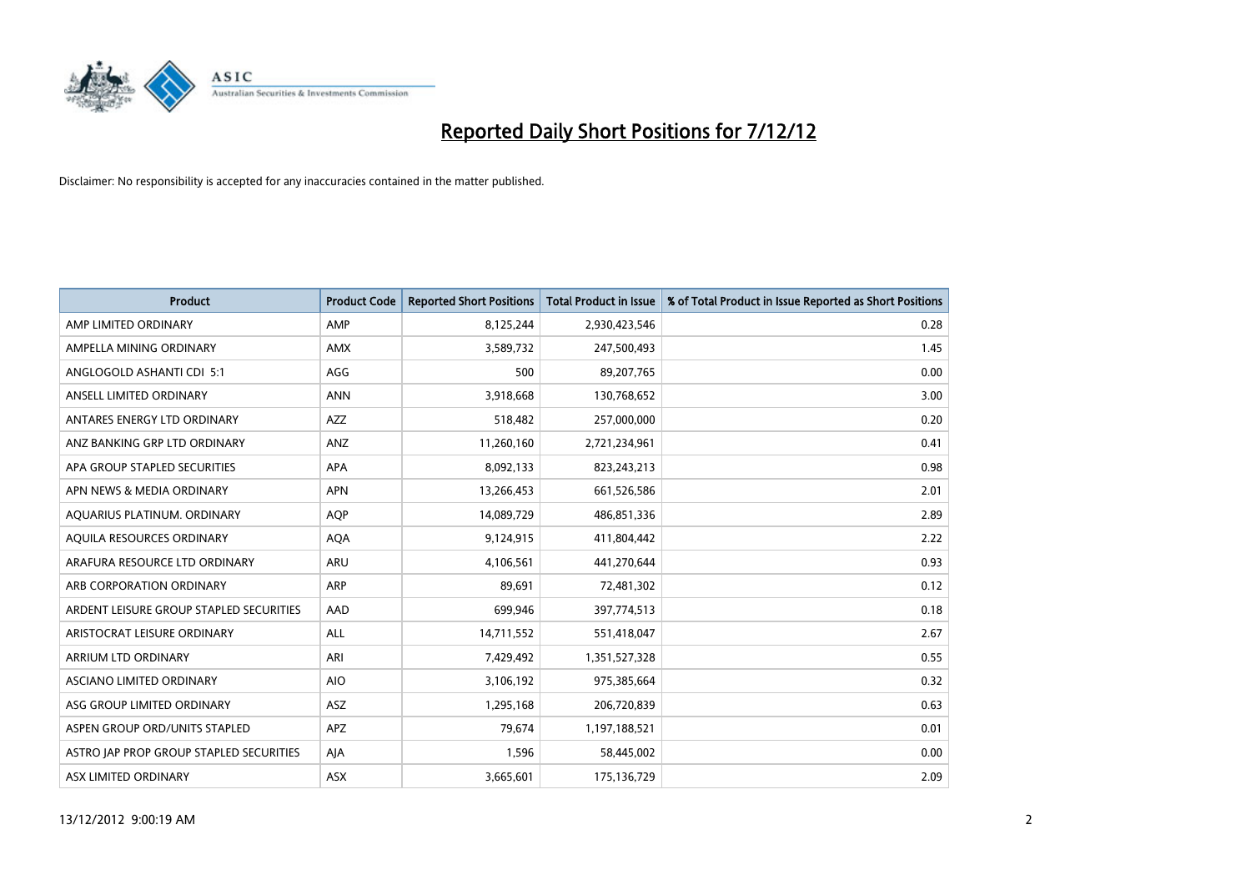

| <b>Product</b>                          | <b>Product Code</b> | <b>Reported Short Positions</b> | <b>Total Product in Issue</b> | % of Total Product in Issue Reported as Short Positions |
|-----------------------------------------|---------------------|---------------------------------|-------------------------------|---------------------------------------------------------|
| AMP LIMITED ORDINARY                    | AMP                 | 8,125,244                       | 2,930,423,546                 | 0.28                                                    |
| AMPELLA MINING ORDINARY                 | <b>AMX</b>          | 3,589,732                       | 247,500,493                   | 1.45                                                    |
| ANGLOGOLD ASHANTI CDI 5:1               | AGG                 | 500                             | 89,207,765                    | 0.00                                                    |
| ANSELL LIMITED ORDINARY                 | <b>ANN</b>          | 3,918,668                       | 130,768,652                   | 3.00                                                    |
| ANTARES ENERGY LTD ORDINARY             | <b>AZZ</b>          | 518,482                         | 257,000,000                   | 0.20                                                    |
| ANZ BANKING GRP LTD ORDINARY            | ANZ                 | 11,260,160                      | 2,721,234,961                 | 0.41                                                    |
| APA GROUP STAPLED SECURITIES            | <b>APA</b>          | 8,092,133                       | 823,243,213                   | 0.98                                                    |
| APN NEWS & MEDIA ORDINARY               | <b>APN</b>          | 13,266,453                      | 661,526,586                   | 2.01                                                    |
| AQUARIUS PLATINUM. ORDINARY             | <b>AOP</b>          | 14,089,729                      | 486,851,336                   | 2.89                                                    |
| AQUILA RESOURCES ORDINARY               | <b>AQA</b>          | 9,124,915                       | 411,804,442                   | 2.22                                                    |
| ARAFURA RESOURCE LTD ORDINARY           | ARU                 | 4,106,561                       | 441,270,644                   | 0.93                                                    |
| ARB CORPORATION ORDINARY                | <b>ARP</b>          | 89,691                          | 72,481,302                    | 0.12                                                    |
| ARDENT LEISURE GROUP STAPLED SECURITIES | AAD                 | 699,946                         | 397,774,513                   | 0.18                                                    |
| ARISTOCRAT LEISURE ORDINARY             | ALL                 | 14,711,552                      | 551,418,047                   | 2.67                                                    |
| ARRIUM LTD ORDINARY                     | ARI                 | 7,429,492                       | 1,351,527,328                 | 0.55                                                    |
| ASCIANO LIMITED ORDINARY                | <b>AIO</b>          | 3,106,192                       | 975,385,664                   | 0.32                                                    |
| ASG GROUP LIMITED ORDINARY              | ASZ                 | 1,295,168                       | 206,720,839                   | 0.63                                                    |
| ASPEN GROUP ORD/UNITS STAPLED           | <b>APZ</b>          | 79,674                          | 1,197,188,521                 | 0.01                                                    |
| ASTRO JAP PROP GROUP STAPLED SECURITIES | AIA                 | 1,596                           | 58,445,002                    | 0.00                                                    |
| ASX LIMITED ORDINARY                    | ASX                 | 3,665,601                       | 175,136,729                   | 2.09                                                    |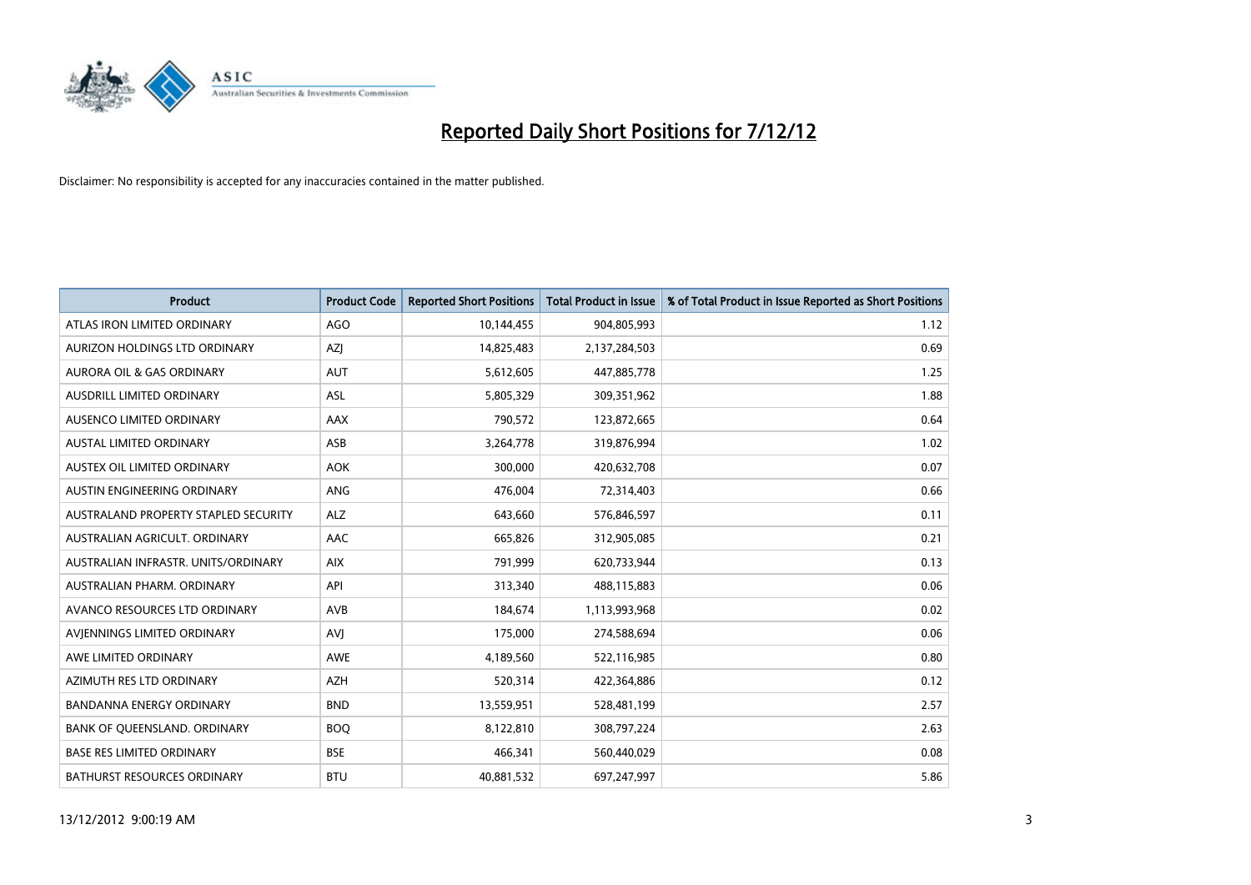

| <b>Product</b>                       | <b>Product Code</b> | <b>Reported Short Positions</b> | <b>Total Product in Issue</b> | % of Total Product in Issue Reported as Short Positions |
|--------------------------------------|---------------------|---------------------------------|-------------------------------|---------------------------------------------------------|
| ATLAS IRON LIMITED ORDINARY          | AGO                 | 10,144,455                      | 904,805,993                   | 1.12                                                    |
| AURIZON HOLDINGS LTD ORDINARY        | <b>AZI</b>          | 14,825,483                      | 2,137,284,503                 | 0.69                                                    |
| <b>AURORA OIL &amp; GAS ORDINARY</b> | <b>AUT</b>          | 5,612,605                       | 447,885,778                   | 1.25                                                    |
| AUSDRILL LIMITED ORDINARY            | <b>ASL</b>          | 5,805,329                       | 309,351,962                   | 1.88                                                    |
| AUSENCO LIMITED ORDINARY             | AAX                 | 790,572                         | 123,872,665                   | 0.64                                                    |
| <b>AUSTAL LIMITED ORDINARY</b>       | ASB                 | 3,264,778                       | 319,876,994                   | 1.02                                                    |
| AUSTEX OIL LIMITED ORDINARY          | <b>AOK</b>          | 300,000                         | 420,632,708                   | 0.07                                                    |
| AUSTIN ENGINEERING ORDINARY          | <b>ANG</b>          | 476,004                         | 72,314,403                    | 0.66                                                    |
| AUSTRALAND PROPERTY STAPLED SECURITY | <b>ALZ</b>          | 643,660                         | 576,846,597                   | 0.11                                                    |
| AUSTRALIAN AGRICULT, ORDINARY        | AAC                 | 665,826                         | 312,905,085                   | 0.21                                                    |
| AUSTRALIAN INFRASTR. UNITS/ORDINARY  | <b>AIX</b>          | 791,999                         | 620,733,944                   | 0.13                                                    |
| AUSTRALIAN PHARM. ORDINARY           | API                 | 313,340                         | 488,115,883                   | 0.06                                                    |
| AVANCO RESOURCES LTD ORDINARY        | <b>AVB</b>          | 184,674                         | 1,113,993,968                 | 0.02                                                    |
| AVIENNINGS LIMITED ORDINARY          | AVI                 | 175,000                         | 274,588,694                   | 0.06                                                    |
| AWE LIMITED ORDINARY                 | <b>AWE</b>          | 4,189,560                       | 522,116,985                   | 0.80                                                    |
| AZIMUTH RES LTD ORDINARY             | <b>AZH</b>          | 520,314                         | 422,364,886                   | 0.12                                                    |
| <b>BANDANNA ENERGY ORDINARY</b>      | <b>BND</b>          | 13,559,951                      | 528,481,199                   | 2.57                                                    |
| BANK OF QUEENSLAND. ORDINARY         | <b>BOO</b>          | 8,122,810                       | 308,797,224                   | 2.63                                                    |
| <b>BASE RES LIMITED ORDINARY</b>     | <b>BSE</b>          | 466,341                         | 560,440,029                   | 0.08                                                    |
| <b>BATHURST RESOURCES ORDINARY</b>   | <b>BTU</b>          | 40,881,532                      | 697,247,997                   | 5.86                                                    |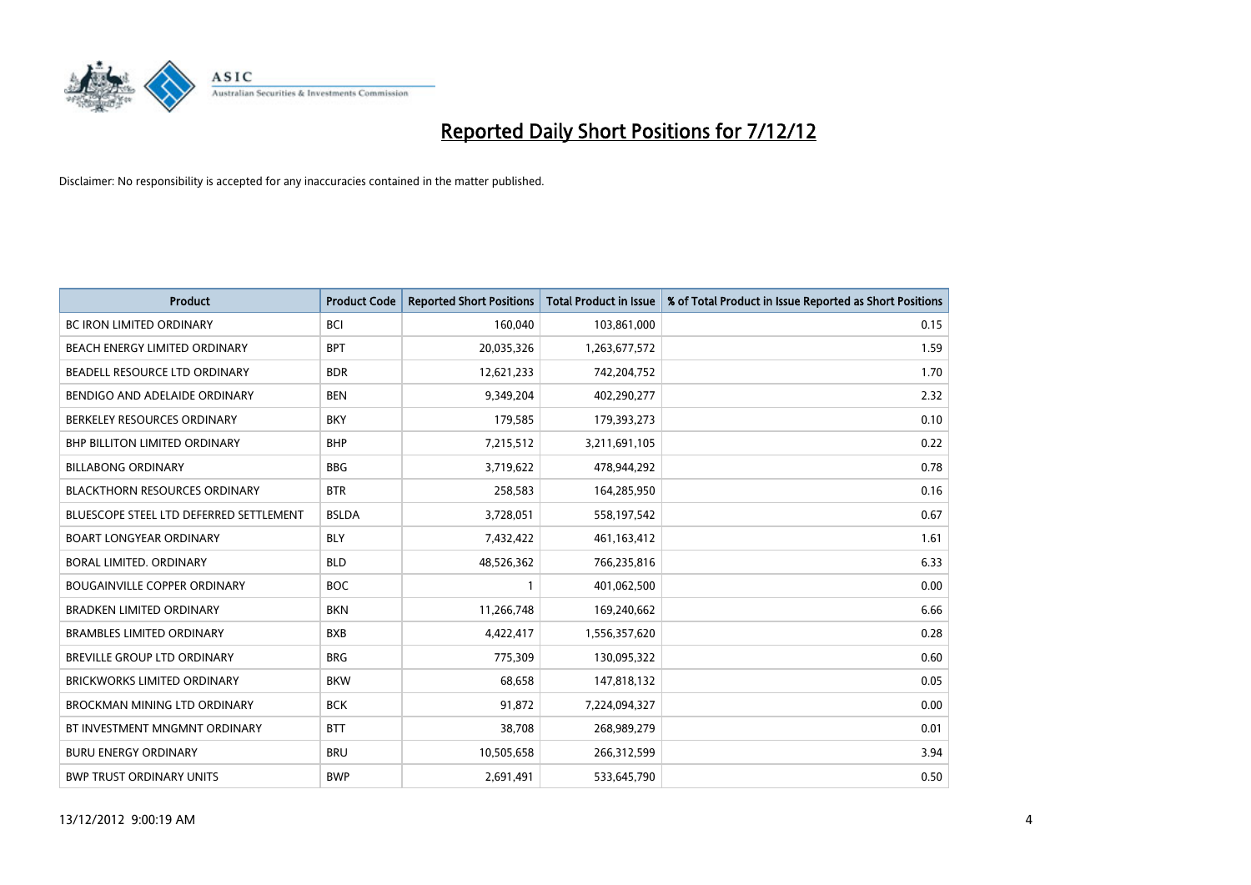

| <b>Product</b>                          | <b>Product Code</b> | <b>Reported Short Positions</b> | <b>Total Product in Issue</b> | % of Total Product in Issue Reported as Short Positions |
|-----------------------------------------|---------------------|---------------------------------|-------------------------------|---------------------------------------------------------|
| <b>BC IRON LIMITED ORDINARY</b>         | <b>BCI</b>          | 160,040                         | 103,861,000                   | 0.15                                                    |
| BEACH ENERGY LIMITED ORDINARY           | <b>BPT</b>          | 20,035,326                      | 1,263,677,572                 | 1.59                                                    |
| BEADELL RESOURCE LTD ORDINARY           | <b>BDR</b>          | 12,621,233                      | 742,204,752                   | 1.70                                                    |
| BENDIGO AND ADELAIDE ORDINARY           | <b>BEN</b>          | 9,349,204                       | 402,290,277                   | 2.32                                                    |
| BERKELEY RESOURCES ORDINARY             | <b>BKY</b>          | 179,585                         | 179,393,273                   | 0.10                                                    |
| <b>BHP BILLITON LIMITED ORDINARY</b>    | <b>BHP</b>          | 7,215,512                       | 3,211,691,105                 | 0.22                                                    |
| <b>BILLABONG ORDINARY</b>               | <b>BBG</b>          | 3,719,622                       | 478,944,292                   | 0.78                                                    |
| <b>BLACKTHORN RESOURCES ORDINARY</b>    | <b>BTR</b>          | 258,583                         | 164,285,950                   | 0.16                                                    |
| BLUESCOPE STEEL LTD DEFERRED SETTLEMENT | <b>BSLDA</b>        | 3,728,051                       | 558,197,542                   | 0.67                                                    |
| <b>BOART LONGYEAR ORDINARY</b>          | <b>BLY</b>          | 7,432,422                       | 461,163,412                   | 1.61                                                    |
| BORAL LIMITED. ORDINARY                 | <b>BLD</b>          | 48,526,362                      | 766,235,816                   | 6.33                                                    |
| <b>BOUGAINVILLE COPPER ORDINARY</b>     | <b>BOC</b>          |                                 | 401,062,500                   | 0.00                                                    |
| <b>BRADKEN LIMITED ORDINARY</b>         | <b>BKN</b>          | 11,266,748                      | 169,240,662                   | 6.66                                                    |
| <b>BRAMBLES LIMITED ORDINARY</b>        | <b>BXB</b>          | 4,422,417                       | 1,556,357,620                 | 0.28                                                    |
| <b>BREVILLE GROUP LTD ORDINARY</b>      | <b>BRG</b>          | 775,309                         | 130,095,322                   | 0.60                                                    |
| BRICKWORKS LIMITED ORDINARY             | <b>BKW</b>          | 68,658                          | 147,818,132                   | 0.05                                                    |
| <b>BROCKMAN MINING LTD ORDINARY</b>     | <b>BCK</b>          | 91,872                          | 7,224,094,327                 | 0.00                                                    |
| BT INVESTMENT MNGMNT ORDINARY           | <b>BTT</b>          | 38,708                          | 268,989,279                   | 0.01                                                    |
| <b>BURU ENERGY ORDINARY</b>             | <b>BRU</b>          | 10,505,658                      | 266,312,599                   | 3.94                                                    |
| <b>BWP TRUST ORDINARY UNITS</b>         | <b>BWP</b>          | 2,691,491                       | 533,645,790                   | 0.50                                                    |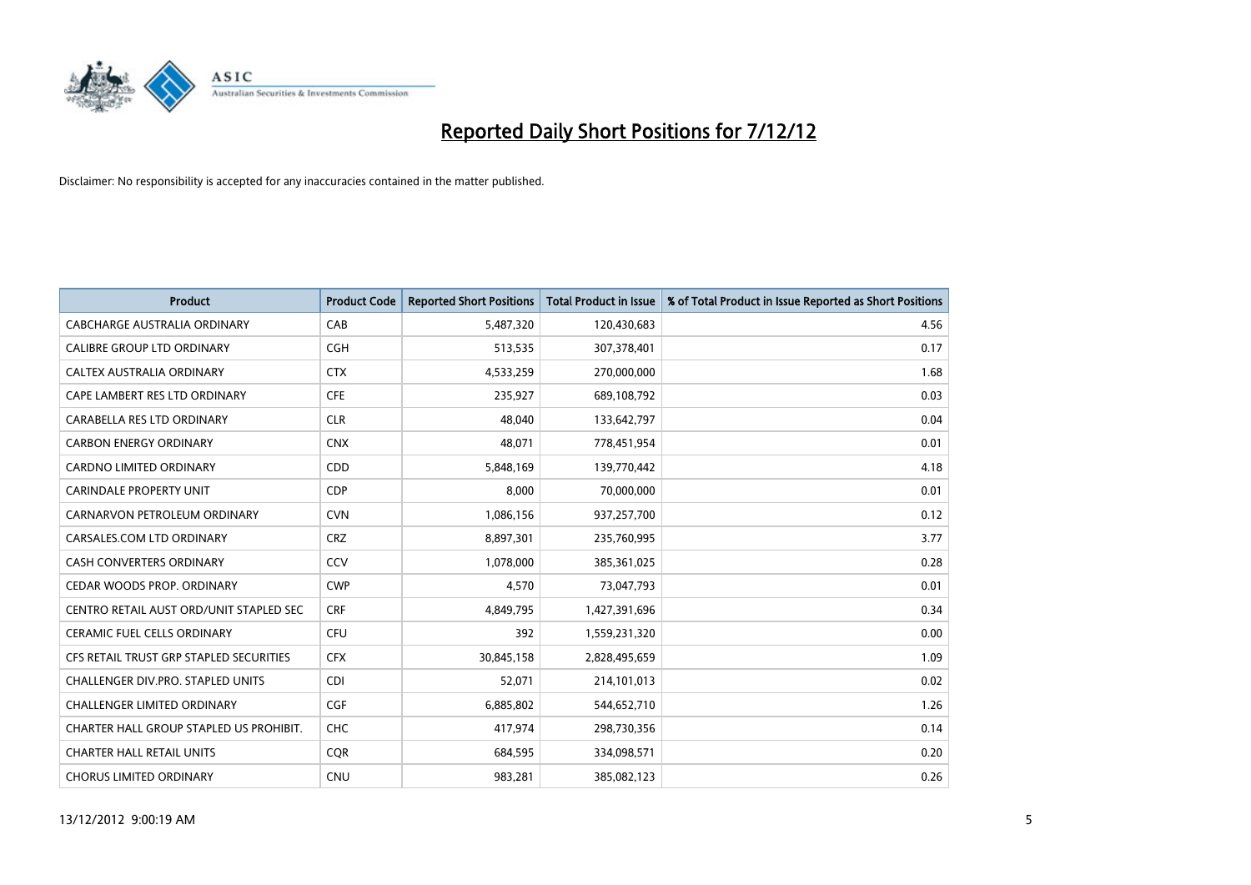

| <b>Product</b>                          | <b>Product Code</b> | <b>Reported Short Positions</b> | <b>Total Product in Issue</b> | % of Total Product in Issue Reported as Short Positions |
|-----------------------------------------|---------------------|---------------------------------|-------------------------------|---------------------------------------------------------|
| CABCHARGE AUSTRALIA ORDINARY            | CAB                 | 5,487,320                       | 120,430,683                   | 4.56                                                    |
| CALIBRE GROUP LTD ORDINARY              | <b>CGH</b>          | 513,535                         | 307,378,401                   | 0.17                                                    |
| <b>CALTEX AUSTRALIA ORDINARY</b>        | <b>CTX</b>          | 4,533,259                       | 270,000,000                   | 1.68                                                    |
| CAPE LAMBERT RES LTD ORDINARY           | <b>CFE</b>          | 235,927                         | 689,108,792                   | 0.03                                                    |
| CARABELLA RES LTD ORDINARY              | <b>CLR</b>          | 48,040                          | 133,642,797                   | 0.04                                                    |
| <b>CARBON ENERGY ORDINARY</b>           | <b>CNX</b>          | 48.071                          | 778,451,954                   | 0.01                                                    |
| <b>CARDNO LIMITED ORDINARY</b>          | CDD                 | 5,848,169                       | 139,770,442                   | 4.18                                                    |
| <b>CARINDALE PROPERTY UNIT</b>          | <b>CDP</b>          | 8,000                           | 70,000,000                    | 0.01                                                    |
| CARNARVON PETROLEUM ORDINARY            | <b>CVN</b>          | 1,086,156                       | 937,257,700                   | 0.12                                                    |
| CARSALES.COM LTD ORDINARY               | <b>CRZ</b>          | 8,897,301                       | 235,760,995                   | 3.77                                                    |
| <b>CASH CONVERTERS ORDINARY</b>         | CCV                 | 1,078,000                       | 385,361,025                   | 0.28                                                    |
| CEDAR WOODS PROP. ORDINARY              | <b>CWP</b>          | 4,570                           | 73,047,793                    | 0.01                                                    |
| CENTRO RETAIL AUST ORD/UNIT STAPLED SEC | <b>CRF</b>          | 4,849,795                       | 1,427,391,696                 | 0.34                                                    |
| <b>CERAMIC FUEL CELLS ORDINARY</b>      | CFU                 | 392                             | 1,559,231,320                 | 0.00                                                    |
| CFS RETAIL TRUST GRP STAPLED SECURITIES | <b>CFX</b>          | 30,845,158                      | 2,828,495,659                 | 1.09                                                    |
| CHALLENGER DIV.PRO. STAPLED UNITS       | <b>CDI</b>          | 52,071                          | 214,101,013                   | 0.02                                                    |
| <b>CHALLENGER LIMITED ORDINARY</b>      | <b>CGF</b>          | 6,885,802                       | 544,652,710                   | 1.26                                                    |
| CHARTER HALL GROUP STAPLED US PROHIBIT. | <b>CHC</b>          | 417,974                         | 298,730,356                   | 0.14                                                    |
| <b>CHARTER HALL RETAIL UNITS</b>        | <b>COR</b>          | 684,595                         | 334,098,571                   | 0.20                                                    |
| <b>CHORUS LIMITED ORDINARY</b>          | <b>CNU</b>          | 983,281                         | 385,082,123                   | 0.26                                                    |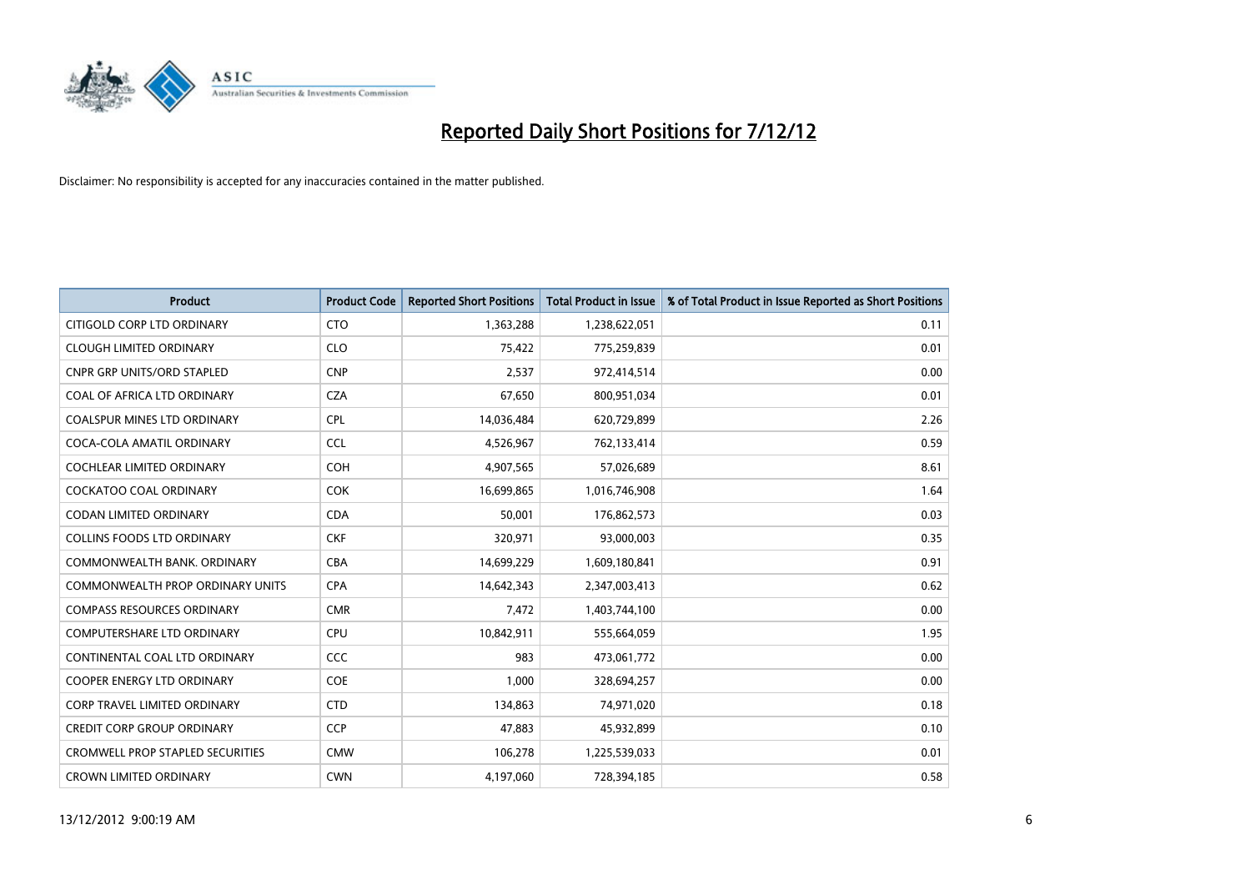

| <b>Product</b>                          | <b>Product Code</b> | <b>Reported Short Positions</b> | <b>Total Product in Issue</b> | % of Total Product in Issue Reported as Short Positions |
|-----------------------------------------|---------------------|---------------------------------|-------------------------------|---------------------------------------------------------|
| CITIGOLD CORP LTD ORDINARY              | <b>CTO</b>          | 1,363,288                       | 1,238,622,051                 | 0.11                                                    |
| <b>CLOUGH LIMITED ORDINARY</b>          | <b>CLO</b>          | 75,422                          | 775,259,839                   | 0.01                                                    |
| <b>CNPR GRP UNITS/ORD STAPLED</b>       | <b>CNP</b>          | 2,537                           | 972,414,514                   | 0.00                                                    |
| COAL OF AFRICA LTD ORDINARY             | <b>CZA</b>          | 67,650                          | 800,951,034                   | 0.01                                                    |
| <b>COALSPUR MINES LTD ORDINARY</b>      | CPL                 | 14,036,484                      | 620,729,899                   | 2.26                                                    |
| COCA-COLA AMATIL ORDINARY               | <b>CCL</b>          | 4,526,967                       | 762,133,414                   | 0.59                                                    |
| <b>COCHLEAR LIMITED ORDINARY</b>        | <b>COH</b>          | 4,907,565                       | 57,026,689                    | 8.61                                                    |
| <b>COCKATOO COAL ORDINARY</b>           | <b>COK</b>          | 16,699,865                      | 1,016,746,908                 | 1.64                                                    |
| CODAN LIMITED ORDINARY                  | <b>CDA</b>          | 50,001                          | 176,862,573                   | 0.03                                                    |
| <b>COLLINS FOODS LTD ORDINARY</b>       | <b>CKF</b>          | 320,971                         | 93,000,003                    | 0.35                                                    |
| COMMONWEALTH BANK, ORDINARY             | <b>CBA</b>          | 14,699,229                      | 1,609,180,841                 | 0.91                                                    |
| COMMONWEALTH PROP ORDINARY UNITS        | <b>CPA</b>          | 14,642,343                      | 2,347,003,413                 | 0.62                                                    |
| <b>COMPASS RESOURCES ORDINARY</b>       | <b>CMR</b>          | 7,472                           | 1,403,744,100                 | 0.00                                                    |
| <b>COMPUTERSHARE LTD ORDINARY</b>       | <b>CPU</b>          | 10,842,911                      | 555,664,059                   | 1.95                                                    |
| CONTINENTAL COAL LTD ORDINARY           | CCC                 | 983                             | 473,061,772                   | 0.00                                                    |
| <b>COOPER ENERGY LTD ORDINARY</b>       | <b>COE</b>          | 1.000                           | 328,694,257                   | 0.00                                                    |
| <b>CORP TRAVEL LIMITED ORDINARY</b>     | <b>CTD</b>          | 134,863                         | 74,971,020                    | 0.18                                                    |
| CREDIT CORP GROUP ORDINARY              | <b>CCP</b>          | 47,883                          | 45,932,899                    | 0.10                                                    |
| <b>CROMWELL PROP STAPLED SECURITIES</b> | <b>CMW</b>          | 106,278                         | 1,225,539,033                 | 0.01                                                    |
| <b>CROWN LIMITED ORDINARY</b>           | <b>CWN</b>          | 4,197,060                       | 728,394,185                   | 0.58                                                    |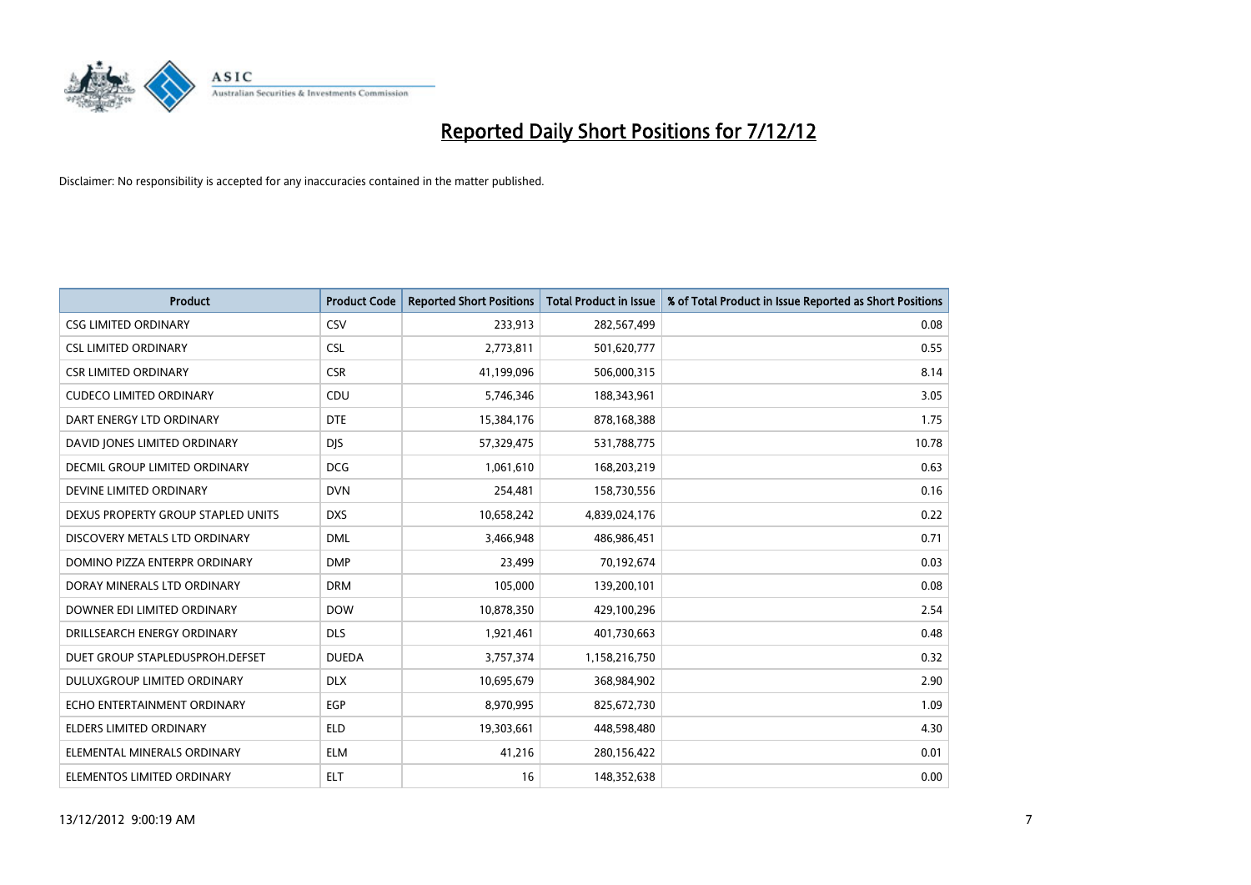

| <b>Product</b>                       | <b>Product Code</b> | <b>Reported Short Positions</b> | <b>Total Product in Issue</b> | % of Total Product in Issue Reported as Short Positions |
|--------------------------------------|---------------------|---------------------------------|-------------------------------|---------------------------------------------------------|
| <b>CSG LIMITED ORDINARY</b>          | CSV                 | 233,913                         | 282,567,499                   | 0.08                                                    |
| <b>CSL LIMITED ORDINARY</b>          | <b>CSL</b>          | 2,773,811                       | 501,620,777                   | 0.55                                                    |
| <b>CSR LIMITED ORDINARY</b>          | <b>CSR</b>          | 41,199,096                      | 506,000,315                   | 8.14                                                    |
| <b>CUDECO LIMITED ORDINARY</b>       | CDU                 | 5,746,346                       | 188,343,961                   | 3.05                                                    |
| DART ENERGY LTD ORDINARY             | <b>DTE</b>          | 15,384,176                      | 878,168,388                   | 1.75                                                    |
| DAVID JONES LIMITED ORDINARY         | <b>DJS</b>          | 57,329,475                      | 531,788,775                   | 10.78                                                   |
| <b>DECMIL GROUP LIMITED ORDINARY</b> | <b>DCG</b>          | 1,061,610                       | 168,203,219                   | 0.63                                                    |
| DEVINE LIMITED ORDINARY              | <b>DVN</b>          | 254,481                         | 158,730,556                   | 0.16                                                    |
| DEXUS PROPERTY GROUP STAPLED UNITS   | <b>DXS</b>          | 10,658,242                      | 4,839,024,176                 | 0.22                                                    |
| DISCOVERY METALS LTD ORDINARY        | <b>DML</b>          | 3,466,948                       | 486,986,451                   | 0.71                                                    |
| DOMINO PIZZA ENTERPR ORDINARY        | <b>DMP</b>          | 23,499                          | 70,192,674                    | 0.03                                                    |
| DORAY MINERALS LTD ORDINARY          | <b>DRM</b>          | 105,000                         | 139,200,101                   | 0.08                                                    |
| DOWNER EDI LIMITED ORDINARY          | <b>DOW</b>          | 10,878,350                      | 429,100,296                   | 2.54                                                    |
| DRILLSEARCH ENERGY ORDINARY          | <b>DLS</b>          | 1,921,461                       | 401,730,663                   | 0.48                                                    |
| DUET GROUP STAPLEDUSPROH.DEFSET      | <b>DUEDA</b>        | 3,757,374                       | 1,158,216,750                 | 0.32                                                    |
| DULUXGROUP LIMITED ORDINARY          | <b>DLX</b>          | 10,695,679                      | 368,984,902                   | 2.90                                                    |
| ECHO ENTERTAINMENT ORDINARY          | <b>EGP</b>          | 8,970,995                       | 825,672,730                   | 1.09                                                    |
| ELDERS LIMITED ORDINARY              | <b>ELD</b>          | 19,303,661                      | 448,598,480                   | 4.30                                                    |
| ELEMENTAL MINERALS ORDINARY          | <b>ELM</b>          | 41,216                          | 280,156,422                   | 0.01                                                    |
| ELEMENTOS LIMITED ORDINARY           | <b>ELT</b>          | 16                              | 148,352,638                   | 0.00                                                    |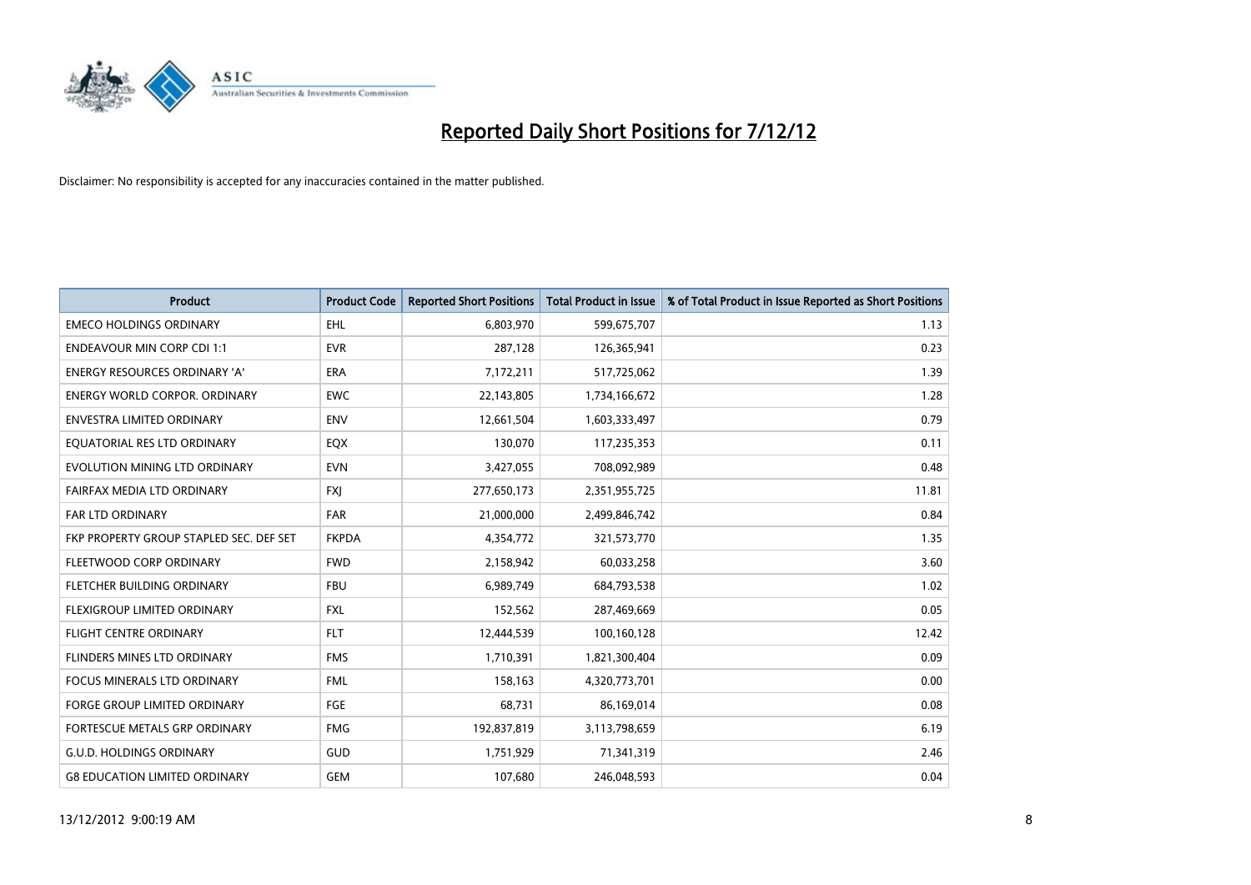

| <b>Product</b>                          | <b>Product Code</b> | <b>Reported Short Positions</b> | <b>Total Product in Issue</b> | % of Total Product in Issue Reported as Short Positions |
|-----------------------------------------|---------------------|---------------------------------|-------------------------------|---------------------------------------------------------|
| <b>EMECO HOLDINGS ORDINARY</b>          | <b>EHL</b>          | 6,803,970                       | 599,675,707                   | 1.13                                                    |
| <b>ENDEAVOUR MIN CORP CDI 1:1</b>       | <b>EVR</b>          | 287,128                         | 126,365,941                   | 0.23                                                    |
| <b>ENERGY RESOURCES ORDINARY 'A'</b>    | <b>ERA</b>          | 7,172,211                       | 517,725,062                   | 1.39                                                    |
| <b>ENERGY WORLD CORPOR. ORDINARY</b>    | <b>EWC</b>          | 22,143,805                      | 1,734,166,672                 | 1.28                                                    |
| <b>ENVESTRA LIMITED ORDINARY</b>        | <b>ENV</b>          | 12,661,504                      | 1,603,333,497                 | 0.79                                                    |
| EQUATORIAL RES LTD ORDINARY             | EQX                 | 130,070                         | 117,235,353                   | 0.11                                                    |
| EVOLUTION MINING LTD ORDINARY           | <b>EVN</b>          | 3,427,055                       | 708,092,989                   | 0.48                                                    |
| FAIRFAX MEDIA LTD ORDINARY              | <b>FXI</b>          | 277,650,173                     | 2,351,955,725                 | 11.81                                                   |
| <b>FAR LTD ORDINARY</b>                 | <b>FAR</b>          | 21,000,000                      | 2,499,846,742                 | 0.84                                                    |
| FKP PROPERTY GROUP STAPLED SEC. DEF SET | <b>FKPDA</b>        | 4,354,772                       | 321,573,770                   | 1.35                                                    |
| FLEETWOOD CORP ORDINARY                 | <b>FWD</b>          | 2,158,942                       | 60,033,258                    | 3.60                                                    |
| FLETCHER BUILDING ORDINARY              | <b>FBU</b>          | 6,989,749                       | 684,793,538                   | 1.02                                                    |
| FLEXIGROUP LIMITED ORDINARY             | <b>FXL</b>          | 152,562                         | 287,469,669                   | 0.05                                                    |
| <b>FLIGHT CENTRE ORDINARY</b>           | <b>FLT</b>          | 12,444,539                      | 100,160,128                   | 12.42                                                   |
| FLINDERS MINES LTD ORDINARY             | <b>FMS</b>          | 1,710,391                       | 1,821,300,404                 | 0.09                                                    |
| FOCUS MINERALS LTD ORDINARY             | <b>FML</b>          | 158,163                         | 4,320,773,701                 | 0.00                                                    |
| FORGE GROUP LIMITED ORDINARY            | FGE                 | 68,731                          | 86,169,014                    | 0.08                                                    |
| FORTESCUE METALS GRP ORDINARY           | <b>FMG</b>          | 192,837,819                     | 3,113,798,659                 | 6.19                                                    |
| <b>G.U.D. HOLDINGS ORDINARY</b>         | GUD                 | 1,751,929                       | 71,341,319                    | 2.46                                                    |
| <b>G8 EDUCATION LIMITED ORDINARY</b>    | <b>GEM</b>          | 107,680                         | 246,048,593                   | 0.04                                                    |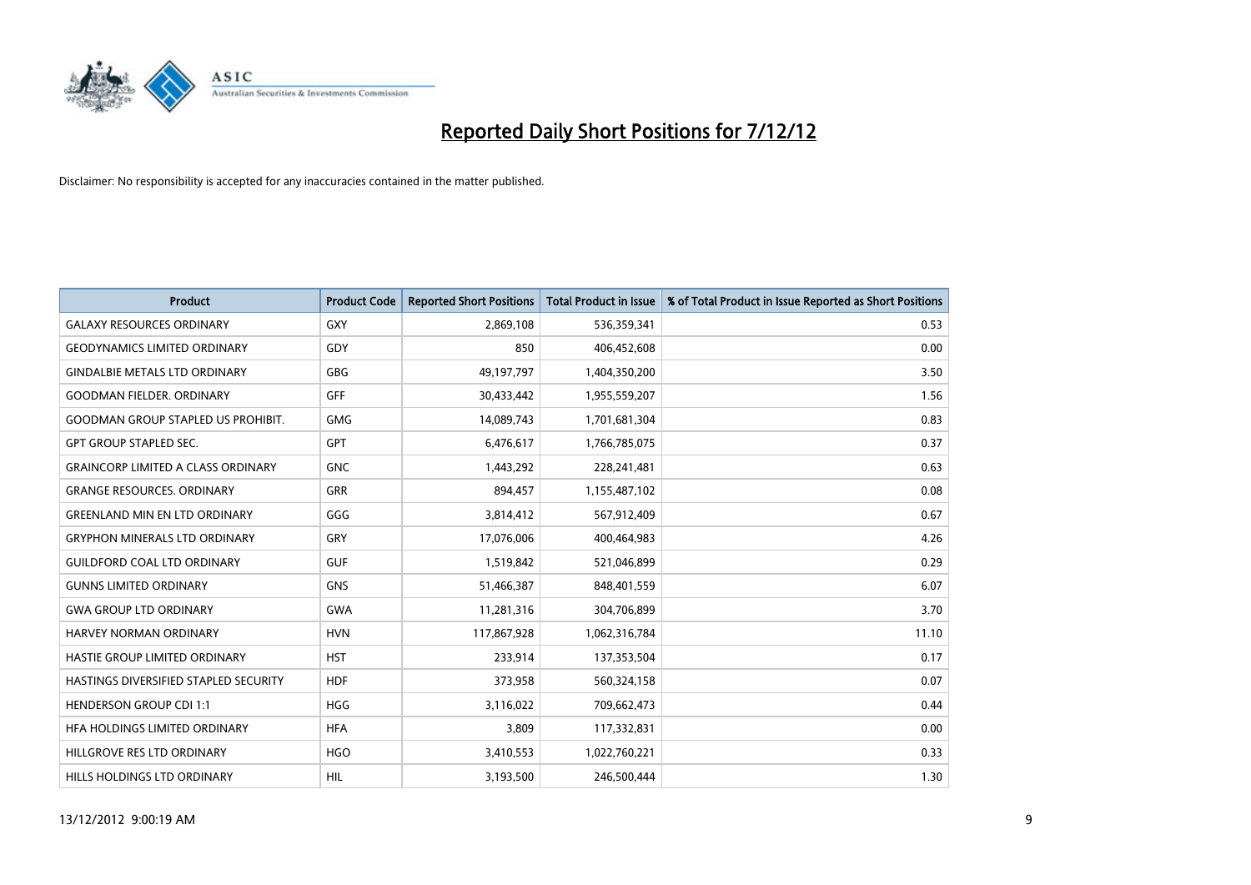

| <b>Product</b>                            | <b>Product Code</b> | <b>Reported Short Positions</b> | <b>Total Product in Issue</b> | % of Total Product in Issue Reported as Short Positions |
|-------------------------------------------|---------------------|---------------------------------|-------------------------------|---------------------------------------------------------|
| <b>GALAXY RESOURCES ORDINARY</b>          | <b>GXY</b>          | 2,869,108                       | 536,359,341                   | 0.53                                                    |
| <b>GEODYNAMICS LIMITED ORDINARY</b>       | GDY                 | 850                             | 406,452,608                   | 0.00                                                    |
| <b>GINDALBIE METALS LTD ORDINARY</b>      | <b>GBG</b>          | 49,197,797                      | 1,404,350,200                 | 3.50                                                    |
| <b>GOODMAN FIELDER, ORDINARY</b>          | <b>GFF</b>          | 30,433,442                      | 1,955,559,207                 | 1.56                                                    |
| <b>GOODMAN GROUP STAPLED US PROHIBIT.</b> | <b>GMG</b>          | 14,089,743                      | 1,701,681,304                 | 0.83                                                    |
| <b>GPT GROUP STAPLED SEC.</b>             | <b>GPT</b>          | 6,476,617                       | 1,766,785,075                 | 0.37                                                    |
| <b>GRAINCORP LIMITED A CLASS ORDINARY</b> | <b>GNC</b>          | 1,443,292                       | 228,241,481                   | 0.63                                                    |
| <b>GRANGE RESOURCES. ORDINARY</b>         | GRR                 | 894,457                         | 1,155,487,102                 | 0.08                                                    |
| <b>GREENLAND MIN EN LTD ORDINARY</b>      | GGG                 | 3,814,412                       | 567,912,409                   | 0.67                                                    |
| <b>GRYPHON MINERALS LTD ORDINARY</b>      | GRY                 | 17,076,006                      | 400,464,983                   | 4.26                                                    |
| <b>GUILDFORD COAL LTD ORDINARY</b>        | <b>GUF</b>          | 1,519,842                       | 521,046,899                   | 0.29                                                    |
| <b>GUNNS LIMITED ORDINARY</b>             | <b>GNS</b>          | 51,466,387                      | 848,401,559                   | 6.07                                                    |
| <b>GWA GROUP LTD ORDINARY</b>             | <b>GWA</b>          | 11,281,316                      | 304,706,899                   | 3.70                                                    |
| HARVEY NORMAN ORDINARY                    | <b>HVN</b>          | 117,867,928                     | 1,062,316,784                 | 11.10                                                   |
| <b>HASTIE GROUP LIMITED ORDINARY</b>      | <b>HST</b>          | 233,914                         | 137,353,504                   | 0.17                                                    |
| HASTINGS DIVERSIFIED STAPLED SECURITY     | <b>HDF</b>          | 373,958                         | 560,324,158                   | 0.07                                                    |
| <b>HENDERSON GROUP CDI 1:1</b>            | <b>HGG</b>          | 3,116,022                       | 709,662,473                   | 0.44                                                    |
| HFA HOLDINGS LIMITED ORDINARY             | <b>HFA</b>          | 3,809                           | 117,332,831                   | 0.00                                                    |
| HILLGROVE RES LTD ORDINARY                | <b>HGO</b>          | 3,410,553                       | 1,022,760,221                 | 0.33                                                    |
| HILLS HOLDINGS LTD ORDINARY               | <b>HIL</b>          | 3,193,500                       | 246,500,444                   | 1.30                                                    |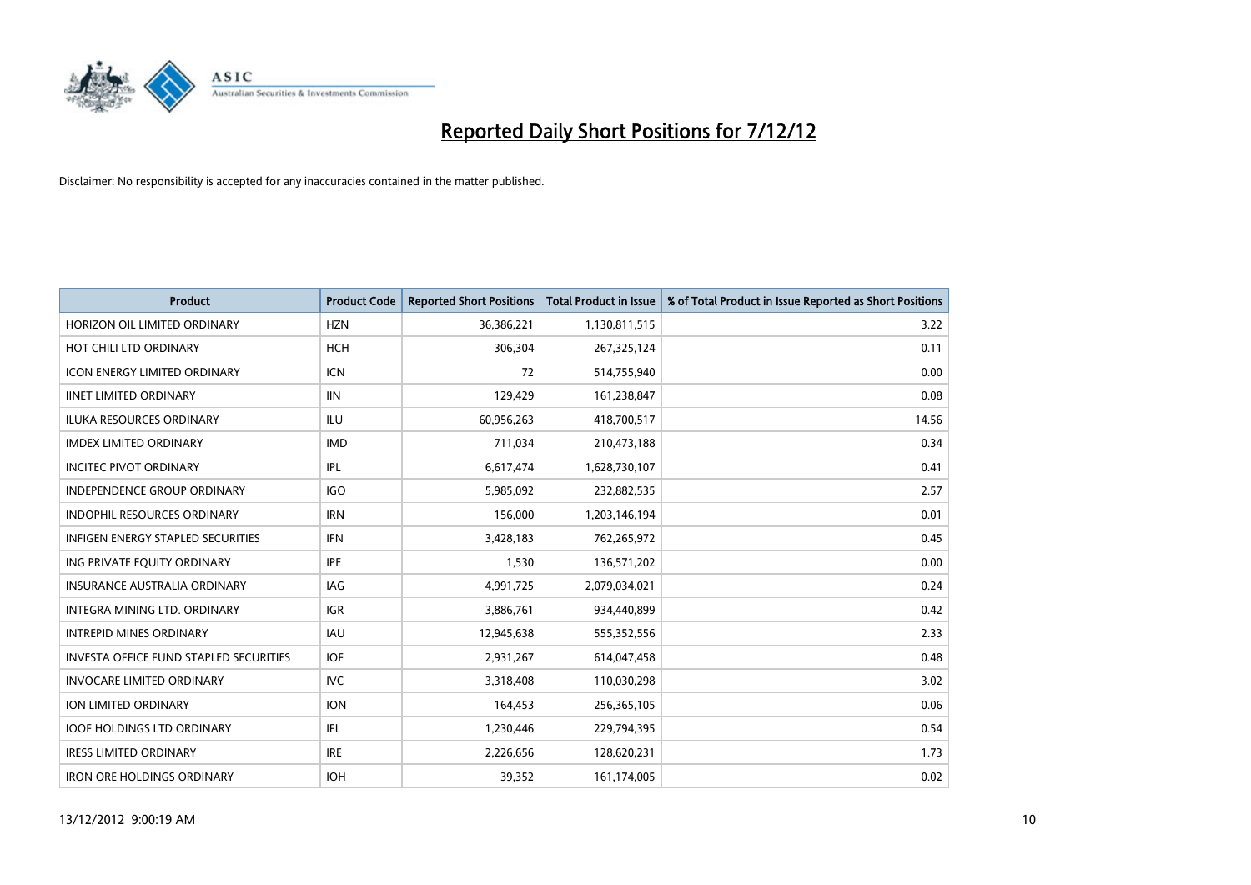

| <b>Product</b>                                | <b>Product Code</b> | <b>Reported Short Positions</b> | <b>Total Product in Issue</b> | % of Total Product in Issue Reported as Short Positions |
|-----------------------------------------------|---------------------|---------------------------------|-------------------------------|---------------------------------------------------------|
| HORIZON OIL LIMITED ORDINARY                  | <b>HZN</b>          | 36,386,221                      | 1,130,811,515                 | 3.22                                                    |
| HOT CHILI LTD ORDINARY                        | <b>HCH</b>          | 306,304                         | 267,325,124                   | 0.11                                                    |
| <b>ICON ENERGY LIMITED ORDINARY</b>           | <b>ICN</b>          | 72                              | 514,755,940                   | 0.00                                                    |
| <b>IINET LIMITED ORDINARY</b>                 | <b>IIN</b>          | 129,429                         | 161,238,847                   | 0.08                                                    |
| <b>ILUKA RESOURCES ORDINARY</b>               | ILU                 | 60,956,263                      | 418,700,517                   | 14.56                                                   |
| <b>IMDEX LIMITED ORDINARY</b>                 | <b>IMD</b>          | 711,034                         | 210,473,188                   | 0.34                                                    |
| <b>INCITEC PIVOT ORDINARY</b>                 | IPL                 | 6,617,474                       | 1,628,730,107                 | 0.41                                                    |
| INDEPENDENCE GROUP ORDINARY                   | <b>IGO</b>          | 5,985,092                       | 232,882,535                   | 2.57                                                    |
| <b>INDOPHIL RESOURCES ORDINARY</b>            | <b>IRN</b>          | 156,000                         | 1,203,146,194                 | 0.01                                                    |
| <b>INFIGEN ENERGY STAPLED SECURITIES</b>      | <b>IFN</b>          | 3,428,183                       | 762,265,972                   | 0.45                                                    |
| ING PRIVATE EQUITY ORDINARY                   | <b>IPE</b>          | 1,530                           | 136,571,202                   | 0.00                                                    |
| <b>INSURANCE AUSTRALIA ORDINARY</b>           | IAG                 | 4,991,725                       | 2,079,034,021                 | 0.24                                                    |
| INTEGRA MINING LTD. ORDINARY                  | <b>IGR</b>          | 3,886,761                       | 934,440,899                   | 0.42                                                    |
| <b>INTREPID MINES ORDINARY</b>                | <b>IAU</b>          | 12,945,638                      | 555,352,556                   | 2.33                                                    |
| <b>INVESTA OFFICE FUND STAPLED SECURITIES</b> | <b>IOF</b>          | 2,931,267                       | 614,047,458                   | 0.48                                                    |
| <b>INVOCARE LIMITED ORDINARY</b>              | <b>IVC</b>          | 3,318,408                       | 110,030,298                   | 3.02                                                    |
| <b>ION LIMITED ORDINARY</b>                   | <b>ION</b>          | 164,453                         | 256,365,105                   | 0.06                                                    |
| <b>IOOF HOLDINGS LTD ORDINARY</b>             | IFL.                | 1,230,446                       | 229,794,395                   | 0.54                                                    |
| <b>IRESS LIMITED ORDINARY</b>                 | <b>IRE</b>          | 2,226,656                       | 128,620,231                   | 1.73                                                    |
| <b>IRON ORE HOLDINGS ORDINARY</b>             | <b>IOH</b>          | 39.352                          | 161,174,005                   | 0.02                                                    |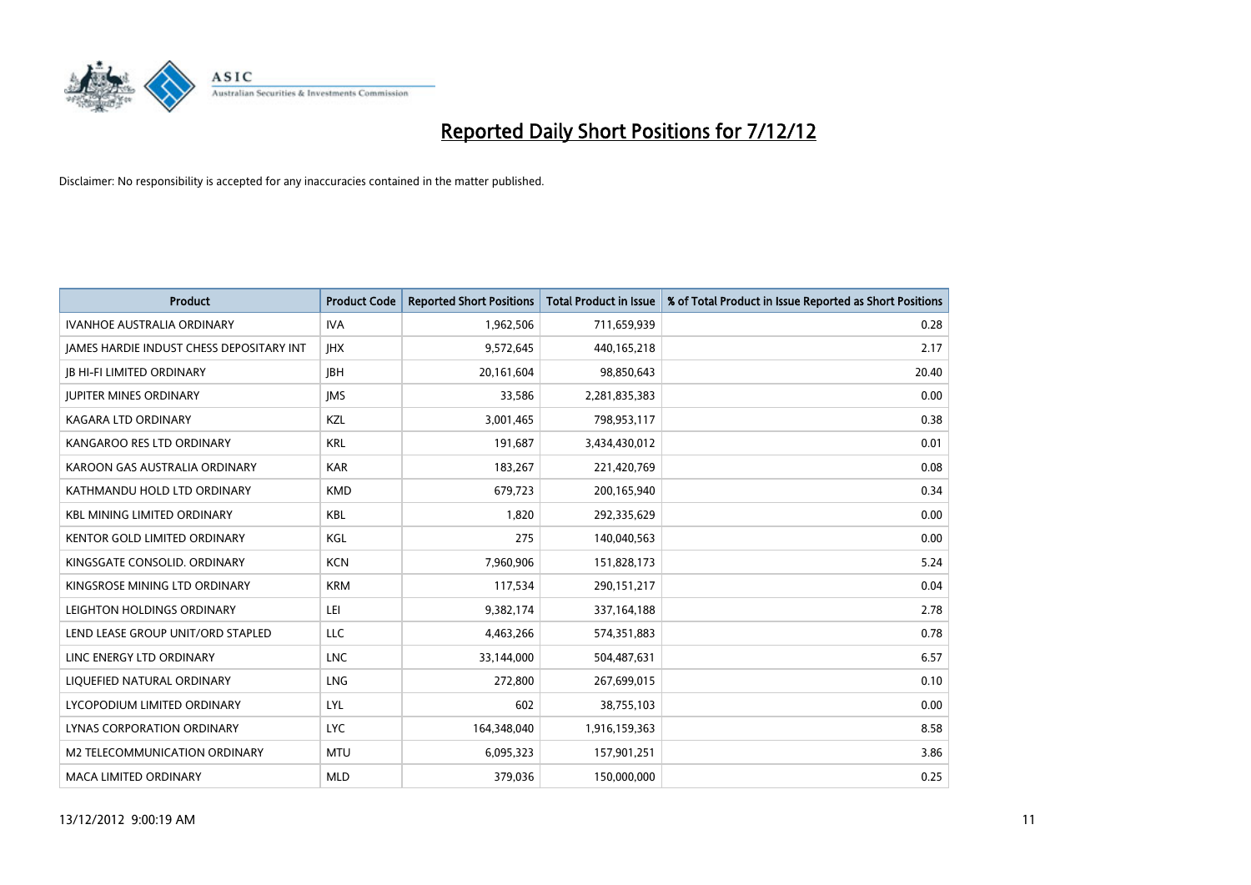

| <b>Product</b>                           | <b>Product Code</b> | <b>Reported Short Positions</b> | <b>Total Product in Issue</b> | % of Total Product in Issue Reported as Short Positions |
|------------------------------------------|---------------------|---------------------------------|-------------------------------|---------------------------------------------------------|
| <b>IVANHOE AUSTRALIA ORDINARY</b>        | <b>IVA</b>          | 1,962,506                       | 711,659,939                   | 0.28                                                    |
| JAMES HARDIE INDUST CHESS DEPOSITARY INT | <b>IHX</b>          | 9,572,645                       | 440,165,218                   | 2.17                                                    |
| <b>IB HI-FI LIMITED ORDINARY</b>         | <b>IBH</b>          | 20,161,604                      | 98,850,643                    | 20.40                                                   |
| <b>JUPITER MINES ORDINARY</b>            | <b>IMS</b>          | 33,586                          | 2,281,835,383                 | 0.00                                                    |
| <b>KAGARA LTD ORDINARY</b>               | <b>KZL</b>          | 3,001,465                       | 798,953,117                   | 0.38                                                    |
| KANGAROO RES LTD ORDINARY                | <b>KRL</b>          | 191,687                         | 3,434,430,012                 | 0.01                                                    |
| KAROON GAS AUSTRALIA ORDINARY            | <b>KAR</b>          | 183.267                         | 221,420,769                   | 0.08                                                    |
| KATHMANDU HOLD LTD ORDINARY              | <b>KMD</b>          | 679,723                         | 200,165,940                   | 0.34                                                    |
| <b>KBL MINING LIMITED ORDINARY</b>       | <b>KBL</b>          | 1,820                           | 292,335,629                   | 0.00                                                    |
| <b>KENTOR GOLD LIMITED ORDINARY</b>      | KGL                 | 275                             | 140,040,563                   | 0.00                                                    |
| KINGSGATE CONSOLID, ORDINARY             | <b>KCN</b>          | 7,960,906                       | 151,828,173                   | 5.24                                                    |
| KINGSROSE MINING LTD ORDINARY            | <b>KRM</b>          | 117,534                         | 290,151,217                   | 0.04                                                    |
| LEIGHTON HOLDINGS ORDINARY               | LEI                 | 9,382,174                       | 337, 164, 188                 | 2.78                                                    |
| LEND LEASE GROUP UNIT/ORD STAPLED        | LLC                 | 4,463,266                       | 574,351,883                   | 0.78                                                    |
| LINC ENERGY LTD ORDINARY                 | <b>LNC</b>          | 33,144,000                      | 504,487,631                   | 6.57                                                    |
| LIQUEFIED NATURAL ORDINARY               | LNG                 | 272,800                         | 267,699,015                   | 0.10                                                    |
| LYCOPODIUM LIMITED ORDINARY              | LYL                 | 602                             | 38,755,103                    | 0.00                                                    |
| LYNAS CORPORATION ORDINARY               | <b>LYC</b>          | 164,348,040                     | 1,916,159,363                 | 8.58                                                    |
| M2 TELECOMMUNICATION ORDINARY            | <b>MTU</b>          | 6,095,323                       | 157,901,251                   | 3.86                                                    |
| <b>MACA LIMITED ORDINARY</b>             | <b>MLD</b>          | 379.036                         | 150,000,000                   | 0.25                                                    |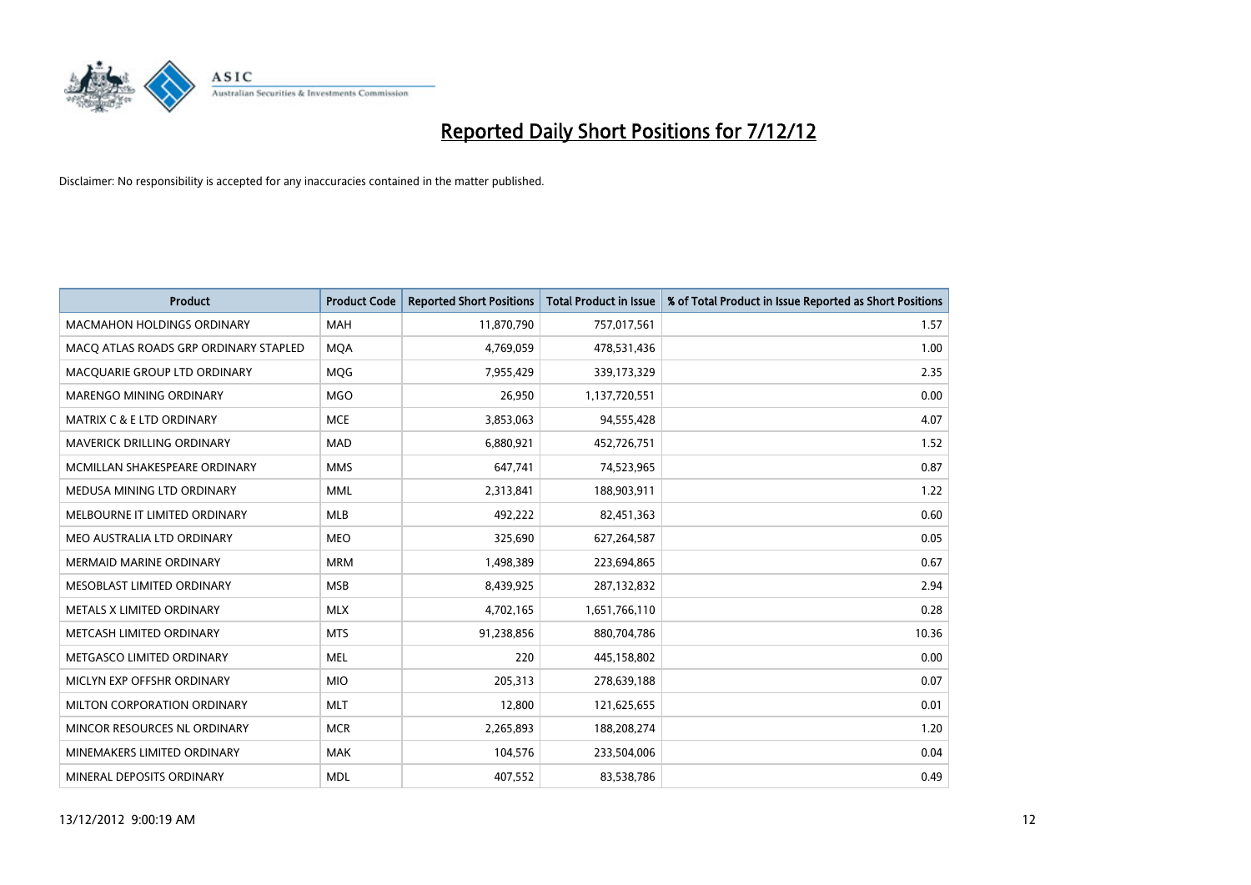

| <b>Product</b>                        | <b>Product Code</b> | <b>Reported Short Positions</b> | <b>Total Product in Issue</b> | % of Total Product in Issue Reported as Short Positions |
|---------------------------------------|---------------------|---------------------------------|-------------------------------|---------------------------------------------------------|
| <b>MACMAHON HOLDINGS ORDINARY</b>     | <b>MAH</b>          | 11,870,790                      | 757,017,561                   | 1.57                                                    |
| MACO ATLAS ROADS GRP ORDINARY STAPLED | <b>MQA</b>          | 4,769,059                       | 478,531,436                   | 1.00                                                    |
| MACOUARIE GROUP LTD ORDINARY          | <b>MOG</b>          | 7,955,429                       | 339,173,329                   | 2.35                                                    |
| MARENGO MINING ORDINARY               | <b>MGO</b>          | 26,950                          | 1,137,720,551                 | 0.00                                                    |
| <b>MATRIX C &amp; E LTD ORDINARY</b>  | <b>MCE</b>          | 3,853,063                       | 94,555,428                    | 4.07                                                    |
| MAVERICK DRILLING ORDINARY            | <b>MAD</b>          | 6,880,921                       | 452,726,751                   | 1.52                                                    |
| MCMILLAN SHAKESPEARE ORDINARY         | <b>MMS</b>          | 647,741                         | 74,523,965                    | 0.87                                                    |
| MEDUSA MINING LTD ORDINARY            | <b>MML</b>          | 2,313,841                       | 188,903,911                   | 1.22                                                    |
| MELBOURNE IT LIMITED ORDINARY         | <b>MLB</b>          | 492,222                         | 82,451,363                    | 0.60                                                    |
| MEO AUSTRALIA LTD ORDINARY            | <b>MEO</b>          | 325,690                         | 627,264,587                   | 0.05                                                    |
| MERMAID MARINE ORDINARY               | <b>MRM</b>          | 1,498,389                       | 223,694,865                   | 0.67                                                    |
| MESOBLAST LIMITED ORDINARY            | <b>MSB</b>          | 8,439,925                       | 287,132,832                   | 2.94                                                    |
| METALS X LIMITED ORDINARY             | <b>MLX</b>          | 4,702,165                       | 1,651,766,110                 | 0.28                                                    |
| METCASH LIMITED ORDINARY              | <b>MTS</b>          | 91,238,856                      | 880,704,786                   | 10.36                                                   |
| METGASCO LIMITED ORDINARY             | <b>MEL</b>          | 220                             | 445,158,802                   | 0.00                                                    |
| MICLYN EXP OFFSHR ORDINARY            | <b>MIO</b>          | 205,313                         | 278,639,188                   | 0.07                                                    |
| MILTON CORPORATION ORDINARY           | <b>MLT</b>          | 12,800                          | 121,625,655                   | 0.01                                                    |
| MINCOR RESOURCES NL ORDINARY          | <b>MCR</b>          | 2,265,893                       | 188,208,274                   | 1.20                                                    |
| MINEMAKERS LIMITED ORDINARY           | <b>MAK</b>          | 104,576                         | 233,504,006                   | 0.04                                                    |
| MINERAL DEPOSITS ORDINARY             | <b>MDL</b>          | 407,552                         | 83,538,786                    | 0.49                                                    |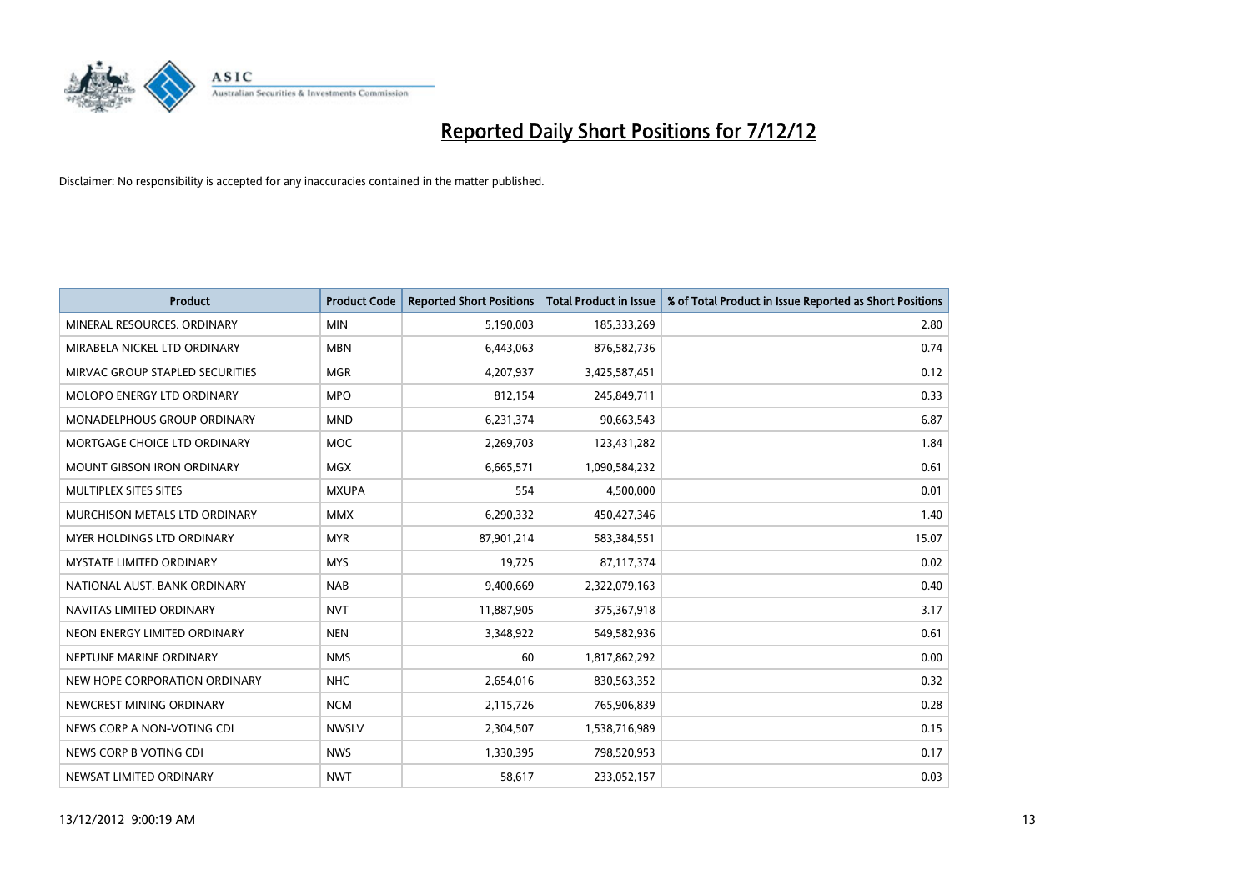

| <b>Product</b>                       | <b>Product Code</b> | <b>Reported Short Positions</b> | <b>Total Product in Issue</b> | % of Total Product in Issue Reported as Short Positions |
|--------------------------------------|---------------------|---------------------------------|-------------------------------|---------------------------------------------------------|
| MINERAL RESOURCES, ORDINARY          | <b>MIN</b>          | 5,190,003                       | 185,333,269                   | 2.80                                                    |
| MIRABELA NICKEL LTD ORDINARY         | <b>MBN</b>          | 6,443,063                       | 876,582,736                   | 0.74                                                    |
| MIRVAC GROUP STAPLED SECURITIES      | <b>MGR</b>          | 4,207,937                       | 3,425,587,451                 | 0.12                                                    |
| MOLOPO ENERGY LTD ORDINARY           | <b>MPO</b>          | 812,154                         | 245,849,711                   | 0.33                                                    |
| <b>MONADELPHOUS GROUP ORDINARY</b>   | <b>MND</b>          | 6,231,374                       | 90,663,543                    | 6.87                                                    |
| MORTGAGE CHOICE LTD ORDINARY         | <b>MOC</b>          | 2,269,703                       | 123,431,282                   | 1.84                                                    |
| <b>MOUNT GIBSON IRON ORDINARY</b>    | <b>MGX</b>          | 6,665,571                       | 1,090,584,232                 | 0.61                                                    |
| MULTIPLEX SITES SITES                | <b>MXUPA</b>        | 554                             | 4,500,000                     | 0.01                                                    |
| <b>MURCHISON METALS LTD ORDINARY</b> | <b>MMX</b>          | 6,290,332                       | 450,427,346                   | 1.40                                                    |
| <b>MYER HOLDINGS LTD ORDINARY</b>    | <b>MYR</b>          | 87,901,214                      | 583,384,551                   | 15.07                                                   |
| MYSTATE LIMITED ORDINARY             | <b>MYS</b>          | 19,725                          | 87,117,374                    | 0.02                                                    |
| NATIONAL AUST, BANK ORDINARY         | <b>NAB</b>          | 9,400,669                       | 2,322,079,163                 | 0.40                                                    |
| NAVITAS LIMITED ORDINARY             | <b>NVT</b>          | 11,887,905                      | 375,367,918                   | 3.17                                                    |
| NEON ENERGY LIMITED ORDINARY         | <b>NEN</b>          | 3,348,922                       | 549,582,936                   | 0.61                                                    |
| NEPTUNE MARINE ORDINARY              | <b>NMS</b>          | 60                              | 1,817,862,292                 | 0.00                                                    |
| NEW HOPE CORPORATION ORDINARY        | <b>NHC</b>          | 2,654,016                       | 830,563,352                   | 0.32                                                    |
| NEWCREST MINING ORDINARY             | <b>NCM</b>          | 2,115,726                       | 765,906,839                   | 0.28                                                    |
| NEWS CORP A NON-VOTING CDI           | <b>NWSLV</b>        | 2,304,507                       | 1,538,716,989                 | 0.15                                                    |
| NEWS CORP B VOTING CDI               | <b>NWS</b>          | 1,330,395                       | 798,520,953                   | 0.17                                                    |
| NEWSAT LIMITED ORDINARY              | <b>NWT</b>          | 58,617                          | 233,052,157                   | 0.03                                                    |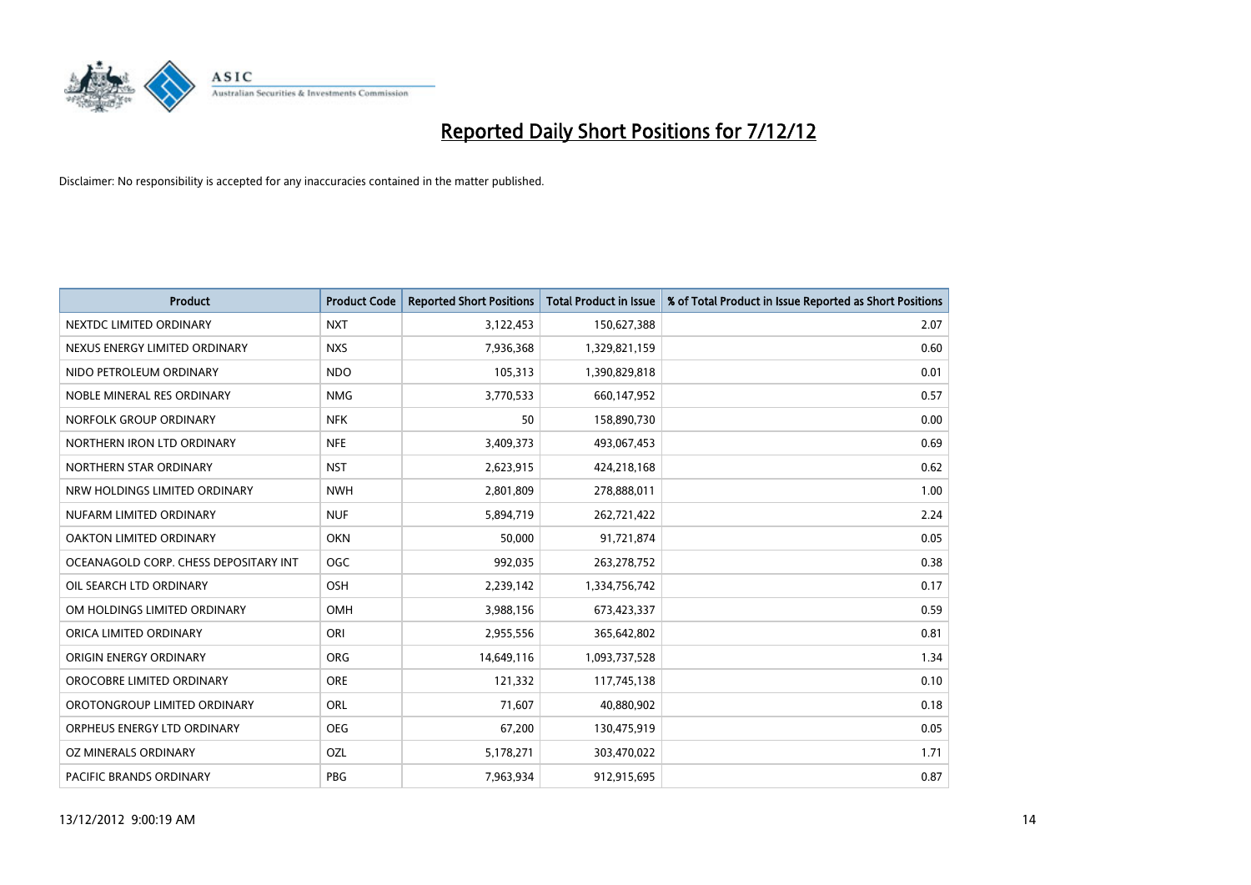

| <b>Product</b>                        | <b>Product Code</b> | <b>Reported Short Positions</b> | <b>Total Product in Issue</b> | % of Total Product in Issue Reported as Short Positions |
|---------------------------------------|---------------------|---------------------------------|-------------------------------|---------------------------------------------------------|
| NEXTDC LIMITED ORDINARY               | <b>NXT</b>          | 3,122,453                       | 150,627,388                   | 2.07                                                    |
| NEXUS ENERGY LIMITED ORDINARY         | <b>NXS</b>          | 7,936,368                       | 1,329,821,159                 | 0.60                                                    |
| NIDO PETROLEUM ORDINARY               | <b>NDO</b>          | 105,313                         | 1,390,829,818                 | 0.01                                                    |
| NOBLE MINERAL RES ORDINARY            | <b>NMG</b>          | 3,770,533                       | 660,147,952                   | 0.57                                                    |
| NORFOLK GROUP ORDINARY                | <b>NFK</b>          | 50                              | 158,890,730                   | 0.00                                                    |
| NORTHERN IRON LTD ORDINARY            | <b>NFE</b>          | 3,409,373                       | 493,067,453                   | 0.69                                                    |
| NORTHERN STAR ORDINARY                | <b>NST</b>          | 2,623,915                       | 424,218,168                   | 0.62                                                    |
| NRW HOLDINGS LIMITED ORDINARY         | <b>NWH</b>          | 2,801,809                       | 278,888,011                   | 1.00                                                    |
| NUFARM LIMITED ORDINARY               | <b>NUF</b>          | 5,894,719                       | 262,721,422                   | 2.24                                                    |
| OAKTON LIMITED ORDINARY               | <b>OKN</b>          | 50,000                          | 91,721,874                    | 0.05                                                    |
| OCEANAGOLD CORP. CHESS DEPOSITARY INT | <b>OGC</b>          | 992,035                         | 263,278,752                   | 0.38                                                    |
| OIL SEARCH LTD ORDINARY               | OSH                 | 2,239,142                       | 1,334,756,742                 | 0.17                                                    |
| OM HOLDINGS LIMITED ORDINARY          | <b>OMH</b>          | 3,988,156                       | 673,423,337                   | 0.59                                                    |
| ORICA LIMITED ORDINARY                | ORI                 | 2,955,556                       | 365,642,802                   | 0.81                                                    |
| ORIGIN ENERGY ORDINARY                | <b>ORG</b>          | 14,649,116                      | 1,093,737,528                 | 1.34                                                    |
| OROCOBRE LIMITED ORDINARY             | <b>ORE</b>          | 121,332                         | 117,745,138                   | 0.10                                                    |
| OROTONGROUP LIMITED ORDINARY          | <b>ORL</b>          | 71,607                          | 40,880,902                    | 0.18                                                    |
| ORPHEUS ENERGY LTD ORDINARY           | <b>OEG</b>          | 67,200                          | 130,475,919                   | 0.05                                                    |
| OZ MINERALS ORDINARY                  | OZL                 | 5,178,271                       | 303,470,022                   | 1.71                                                    |
| <b>PACIFIC BRANDS ORDINARY</b>        | PBG                 | 7.963.934                       | 912,915,695                   | 0.87                                                    |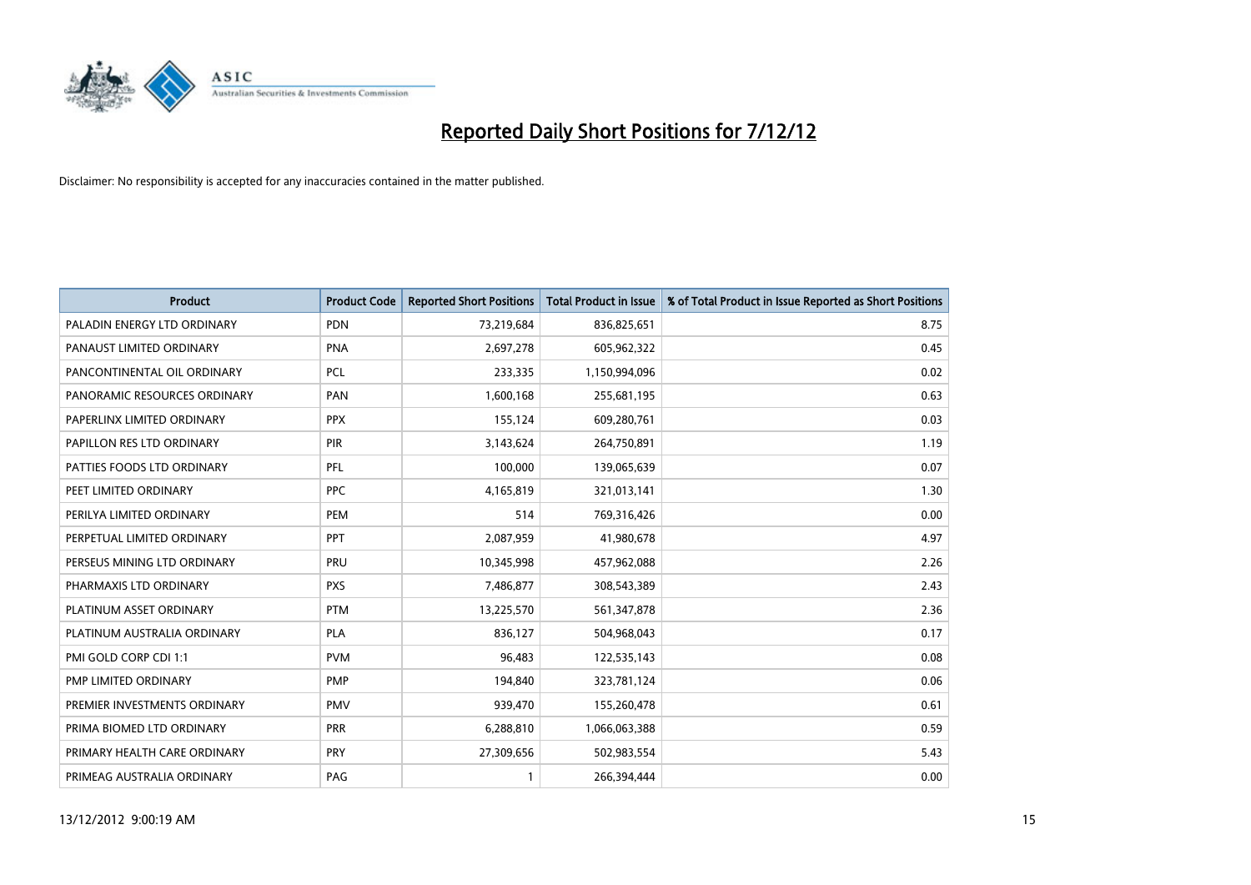

| <b>Product</b>               | <b>Product Code</b> | <b>Reported Short Positions</b> | <b>Total Product in Issue</b> | % of Total Product in Issue Reported as Short Positions |
|------------------------------|---------------------|---------------------------------|-------------------------------|---------------------------------------------------------|
| PALADIN ENERGY LTD ORDINARY  | <b>PDN</b>          | 73,219,684                      | 836,825,651                   | 8.75                                                    |
| PANAUST LIMITED ORDINARY     | PNA                 | 2,697,278                       | 605,962,322                   | 0.45                                                    |
| PANCONTINENTAL OIL ORDINARY  | <b>PCL</b>          | 233,335                         | 1,150,994,096                 | 0.02                                                    |
| PANORAMIC RESOURCES ORDINARY | PAN                 | 1,600,168                       | 255,681,195                   | 0.63                                                    |
| PAPERLINX LIMITED ORDINARY   | <b>PPX</b>          | 155,124                         | 609,280,761                   | 0.03                                                    |
| PAPILLON RES LTD ORDINARY    | PIR                 | 3,143,624                       | 264,750,891                   | 1.19                                                    |
| PATTIES FOODS LTD ORDINARY   | PFL                 | 100.000                         | 139,065,639                   | 0.07                                                    |
| PEET LIMITED ORDINARY        | <b>PPC</b>          | 4,165,819                       | 321,013,141                   | 1.30                                                    |
| PERILYA LIMITED ORDINARY     | PEM                 | 514                             | 769,316,426                   | 0.00                                                    |
| PERPETUAL LIMITED ORDINARY   | <b>PPT</b>          | 2,087,959                       | 41,980,678                    | 4.97                                                    |
| PERSEUS MINING LTD ORDINARY  | PRU                 | 10,345,998                      | 457,962,088                   | 2.26                                                    |
| PHARMAXIS LTD ORDINARY       | <b>PXS</b>          | 7,486,877                       | 308,543,389                   | 2.43                                                    |
| PLATINUM ASSET ORDINARY      | <b>PTM</b>          | 13,225,570                      | 561,347,878                   | 2.36                                                    |
| PLATINUM AUSTRALIA ORDINARY  | <b>PLA</b>          | 836,127                         | 504,968,043                   | 0.17                                                    |
| PMI GOLD CORP CDI 1:1        | <b>PVM</b>          | 96,483                          | 122,535,143                   | 0.08                                                    |
| PMP LIMITED ORDINARY         | <b>PMP</b>          | 194,840                         | 323,781,124                   | 0.06                                                    |
| PREMIER INVESTMENTS ORDINARY | <b>PMV</b>          | 939,470                         | 155,260,478                   | 0.61                                                    |
| PRIMA BIOMED LTD ORDINARY    | <b>PRR</b>          | 6,288,810                       | 1,066,063,388                 | 0.59                                                    |
| PRIMARY HEALTH CARE ORDINARY | <b>PRY</b>          | 27,309,656                      | 502,983,554                   | 5.43                                                    |
| PRIMEAG AUSTRALIA ORDINARY   | PAG                 |                                 | 266.394.444                   | 0.00                                                    |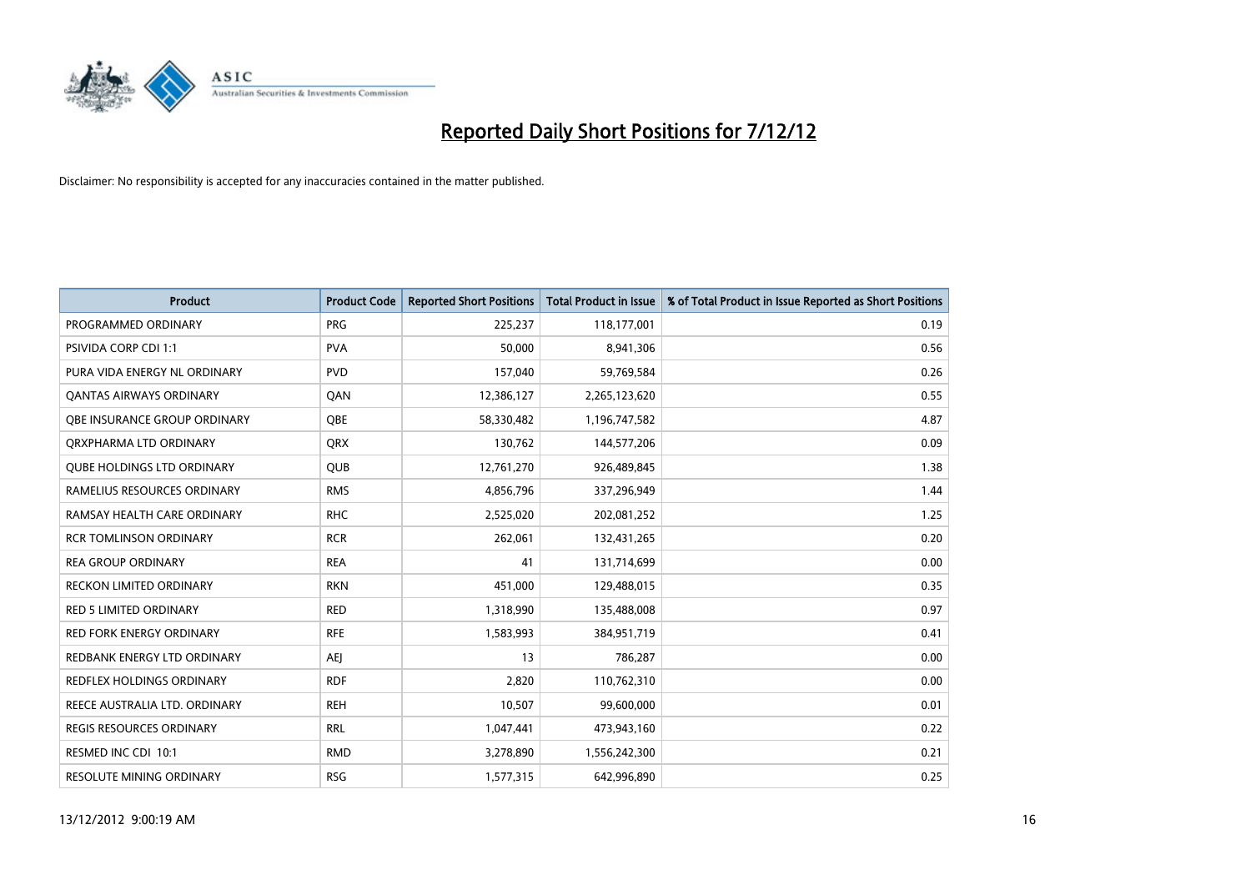

| <b>Product</b>                    | <b>Product Code</b> | <b>Reported Short Positions</b> | <b>Total Product in Issue</b> | % of Total Product in Issue Reported as Short Positions |
|-----------------------------------|---------------------|---------------------------------|-------------------------------|---------------------------------------------------------|
| PROGRAMMED ORDINARY               | <b>PRG</b>          | 225,237                         | 118,177,001                   | 0.19                                                    |
| PSIVIDA CORP CDI 1:1              | <b>PVA</b>          | 50,000                          | 8,941,306                     | 0.56                                                    |
| PURA VIDA ENERGY NL ORDINARY      | <b>PVD</b>          | 157,040                         | 59,769,584                    | 0.26                                                    |
| <b>QANTAS AIRWAYS ORDINARY</b>    | QAN                 | 12,386,127                      | 2,265,123,620                 | 0.55                                                    |
| OBE INSURANCE GROUP ORDINARY      | <b>OBE</b>          | 58,330,482                      | 1,196,747,582                 | 4.87                                                    |
| ORXPHARMA LTD ORDINARY            | <b>ORX</b>          | 130,762                         | 144,577,206                   | 0.09                                                    |
| <b>QUBE HOLDINGS LTD ORDINARY</b> | <b>OUB</b>          | 12,761,270                      | 926,489,845                   | 1.38                                                    |
| RAMELIUS RESOURCES ORDINARY       | <b>RMS</b>          | 4,856,796                       | 337,296,949                   | 1.44                                                    |
| RAMSAY HEALTH CARE ORDINARY       | <b>RHC</b>          | 2,525,020                       | 202,081,252                   | 1.25                                                    |
| <b>RCR TOMLINSON ORDINARY</b>     | <b>RCR</b>          | 262,061                         | 132,431,265                   | 0.20                                                    |
| <b>REA GROUP ORDINARY</b>         | <b>REA</b>          | 41                              | 131,714,699                   | 0.00                                                    |
| <b>RECKON LIMITED ORDINARY</b>    | <b>RKN</b>          | 451,000                         | 129,488,015                   | 0.35                                                    |
| <b>RED 5 LIMITED ORDINARY</b>     | <b>RED</b>          | 1,318,990                       | 135,488,008                   | 0.97                                                    |
| <b>RED FORK ENERGY ORDINARY</b>   | <b>RFE</b>          | 1,583,993                       | 384,951,719                   | 0.41                                                    |
| REDBANK ENERGY LTD ORDINARY       | <b>AEI</b>          | 13                              | 786,287                       | 0.00                                                    |
| REDFLEX HOLDINGS ORDINARY         | <b>RDF</b>          | 2,820                           | 110,762,310                   | 0.00                                                    |
| REECE AUSTRALIA LTD. ORDINARY     | <b>REH</b>          | 10,507                          | 99,600,000                    | 0.01                                                    |
| REGIS RESOURCES ORDINARY          | <b>RRL</b>          | 1,047,441                       | 473,943,160                   | 0.22                                                    |
| RESMED INC CDI 10:1               | <b>RMD</b>          | 3,278,890                       | 1,556,242,300                 | 0.21                                                    |
| <b>RESOLUTE MINING ORDINARY</b>   | <b>RSG</b>          | 1,577,315                       | 642.996.890                   | 0.25                                                    |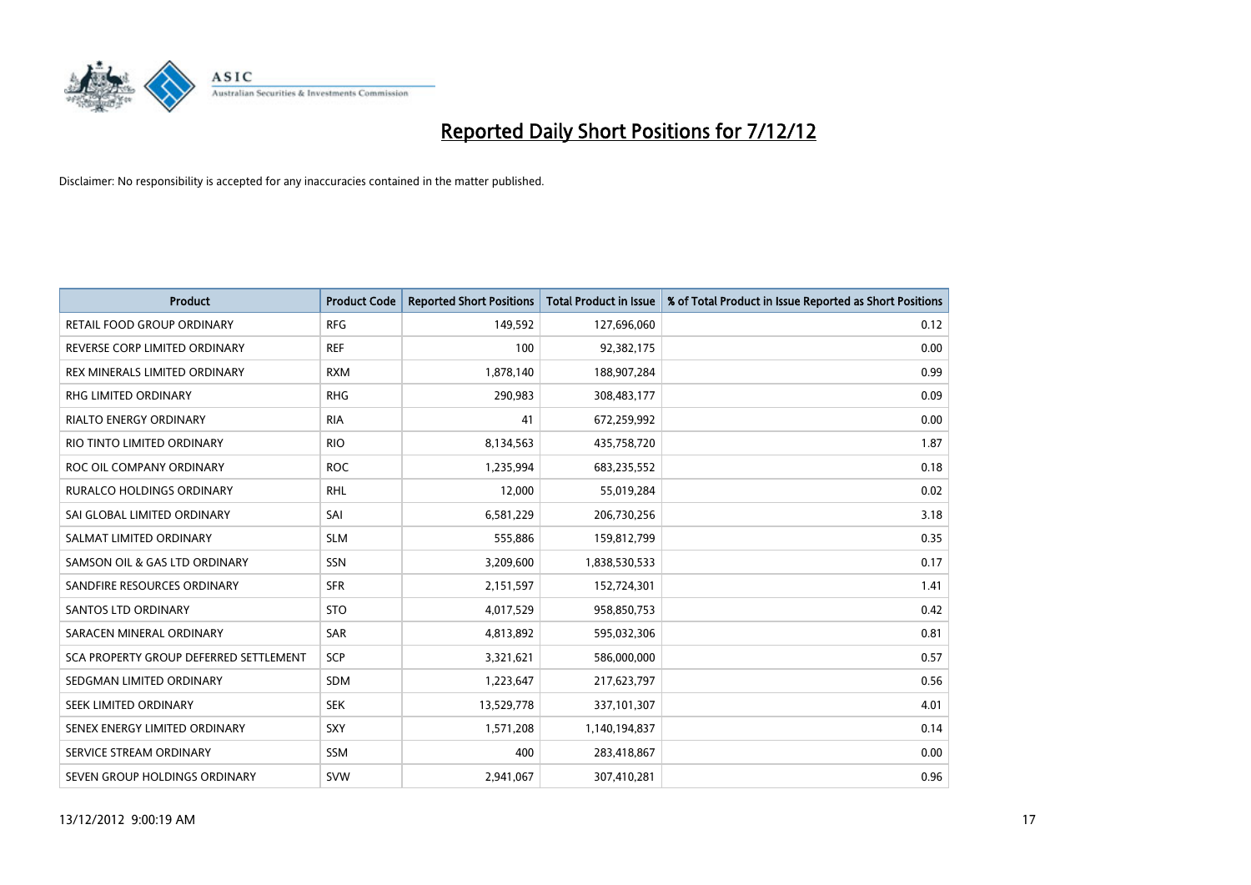

| <b>Product</b>                         | <b>Product Code</b> | <b>Reported Short Positions</b> | <b>Total Product in Issue</b> | % of Total Product in Issue Reported as Short Positions |
|----------------------------------------|---------------------|---------------------------------|-------------------------------|---------------------------------------------------------|
| RETAIL FOOD GROUP ORDINARY             | <b>RFG</b>          | 149,592                         | 127,696,060                   | 0.12                                                    |
| REVERSE CORP LIMITED ORDINARY          | <b>REF</b>          | 100                             | 92,382,175                    | 0.00                                                    |
| REX MINERALS LIMITED ORDINARY          | <b>RXM</b>          | 1,878,140                       | 188,907,284                   | 0.99                                                    |
| RHG LIMITED ORDINARY                   | <b>RHG</b>          | 290,983                         | 308,483,177                   | 0.09                                                    |
| <b>RIALTO ENERGY ORDINARY</b>          | <b>RIA</b>          | 41                              | 672,259,992                   | 0.00                                                    |
| RIO TINTO LIMITED ORDINARY             | <b>RIO</b>          | 8,134,563                       | 435,758,720                   | 1.87                                                    |
| ROC OIL COMPANY ORDINARY               | <b>ROC</b>          | 1,235,994                       | 683,235,552                   | 0.18                                                    |
| RURALCO HOLDINGS ORDINARY              | <b>RHL</b>          | 12,000                          | 55,019,284                    | 0.02                                                    |
| SAI GLOBAL LIMITED ORDINARY            | SAI                 | 6,581,229                       | 206,730,256                   | 3.18                                                    |
| SALMAT LIMITED ORDINARY                | <b>SLM</b>          | 555,886                         | 159,812,799                   | 0.35                                                    |
| SAMSON OIL & GAS LTD ORDINARY          | SSN                 | 3,209,600                       | 1,838,530,533                 | 0.17                                                    |
| SANDFIRE RESOURCES ORDINARY            | <b>SFR</b>          | 2,151,597                       | 152,724,301                   | 1.41                                                    |
| <b>SANTOS LTD ORDINARY</b>             | <b>STO</b>          | 4,017,529                       | 958,850,753                   | 0.42                                                    |
| SARACEN MINERAL ORDINARY               | SAR                 | 4,813,892                       | 595,032,306                   | 0.81                                                    |
| SCA PROPERTY GROUP DEFERRED SETTLEMENT | <b>SCP</b>          | 3,321,621                       | 586,000,000                   | 0.57                                                    |
| SEDGMAN LIMITED ORDINARY               | SDM                 | 1,223,647                       | 217,623,797                   | 0.56                                                    |
| <b>SEEK LIMITED ORDINARY</b>           | <b>SEK</b>          | 13,529,778                      | 337,101,307                   | 4.01                                                    |
| SENEX ENERGY LIMITED ORDINARY          | <b>SXY</b>          | 1,571,208                       | 1,140,194,837                 | 0.14                                                    |
| SERVICE STREAM ORDINARY                | <b>SSM</b>          | 400                             | 283,418,867                   | 0.00                                                    |
| SEVEN GROUP HOLDINGS ORDINARY          | <b>SVW</b>          | 2,941,067                       | 307,410,281                   | 0.96                                                    |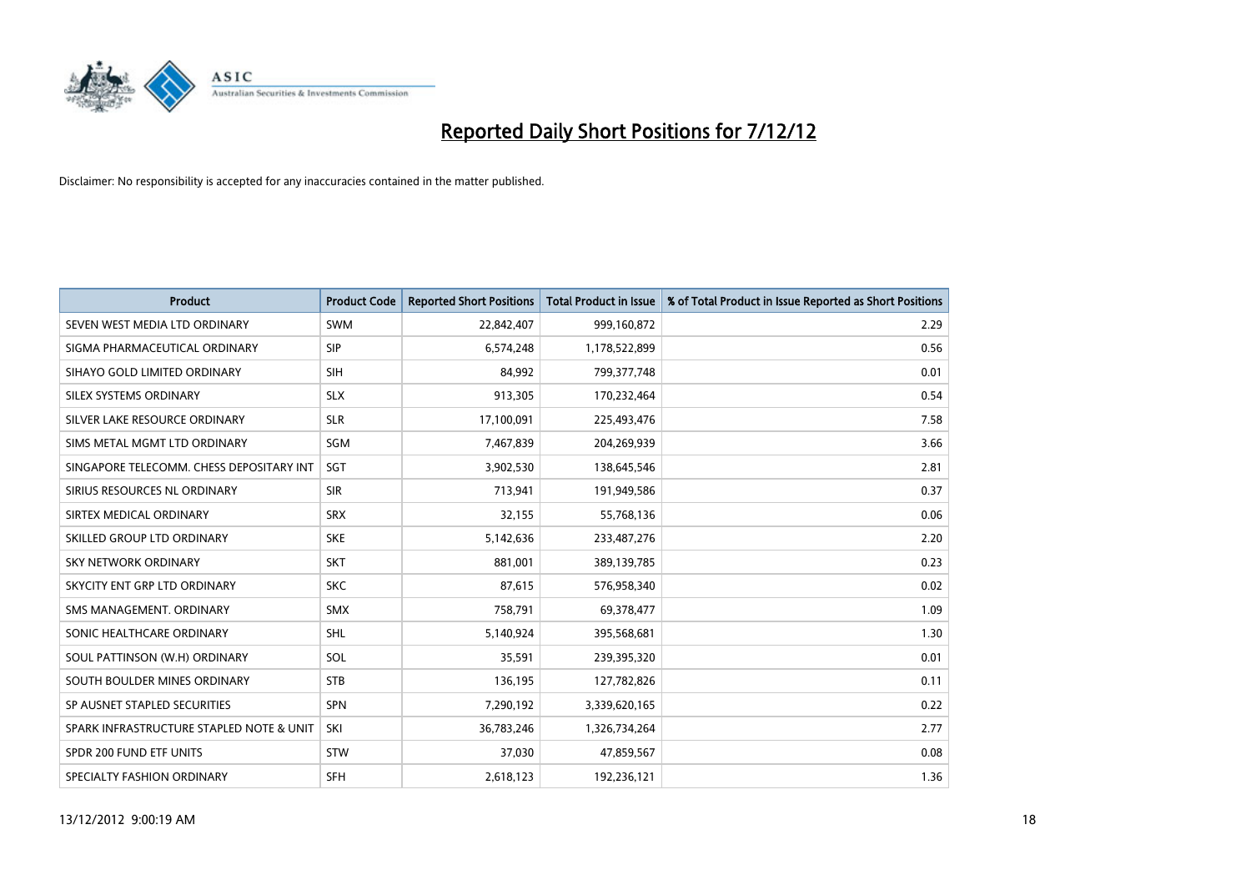

| <b>Product</b>                           | <b>Product Code</b> | <b>Reported Short Positions</b> | <b>Total Product in Issue</b> | % of Total Product in Issue Reported as Short Positions |
|------------------------------------------|---------------------|---------------------------------|-------------------------------|---------------------------------------------------------|
| SEVEN WEST MEDIA LTD ORDINARY            | <b>SWM</b>          | 22,842,407                      | 999,160,872                   | 2.29                                                    |
| SIGMA PHARMACEUTICAL ORDINARY            | <b>SIP</b>          | 6,574,248                       | 1,178,522,899                 | 0.56                                                    |
| SIHAYO GOLD LIMITED ORDINARY             | SIH                 | 84,992                          | 799,377,748                   | 0.01                                                    |
| SILEX SYSTEMS ORDINARY                   | <b>SLX</b>          | 913,305                         | 170,232,464                   | 0.54                                                    |
| SILVER LAKE RESOURCE ORDINARY            | <b>SLR</b>          | 17,100,091                      | 225,493,476                   | 7.58                                                    |
| SIMS METAL MGMT LTD ORDINARY             | SGM                 | 7,467,839                       | 204,269,939                   | 3.66                                                    |
| SINGAPORE TELECOMM. CHESS DEPOSITARY INT | <b>SGT</b>          | 3,902,530                       | 138,645,546                   | 2.81                                                    |
| SIRIUS RESOURCES NL ORDINARY             | <b>SIR</b>          | 713,941                         | 191,949,586                   | 0.37                                                    |
| SIRTEX MEDICAL ORDINARY                  | <b>SRX</b>          | 32,155                          | 55,768,136                    | 0.06                                                    |
| SKILLED GROUP LTD ORDINARY               | <b>SKE</b>          | 5,142,636                       | 233,487,276                   | 2.20                                                    |
| SKY NETWORK ORDINARY                     | <b>SKT</b>          | 881,001                         | 389,139,785                   | 0.23                                                    |
| SKYCITY ENT GRP LTD ORDINARY             | <b>SKC</b>          | 87,615                          | 576,958,340                   | 0.02                                                    |
| SMS MANAGEMENT, ORDINARY                 | <b>SMX</b>          | 758,791                         | 69,378,477                    | 1.09                                                    |
| SONIC HEALTHCARE ORDINARY                | <b>SHL</b>          | 5,140,924                       | 395,568,681                   | 1.30                                                    |
| SOUL PATTINSON (W.H) ORDINARY            | SOL                 | 35,591                          | 239,395,320                   | 0.01                                                    |
| SOUTH BOULDER MINES ORDINARY             | <b>STB</b>          | 136,195                         | 127,782,826                   | 0.11                                                    |
| SP AUSNET STAPLED SECURITIES             | <b>SPN</b>          | 7,290,192                       | 3,339,620,165                 | 0.22                                                    |
| SPARK INFRASTRUCTURE STAPLED NOTE & UNIT | <b>SKI</b>          | 36,783,246                      | 1,326,734,264                 | 2.77                                                    |
| SPDR 200 FUND ETF UNITS                  | <b>STW</b>          | 37,030                          | 47,859,567                    | 0.08                                                    |
| SPECIALTY FASHION ORDINARY               | <b>SFH</b>          | 2,618,123                       | 192,236,121                   | 1.36                                                    |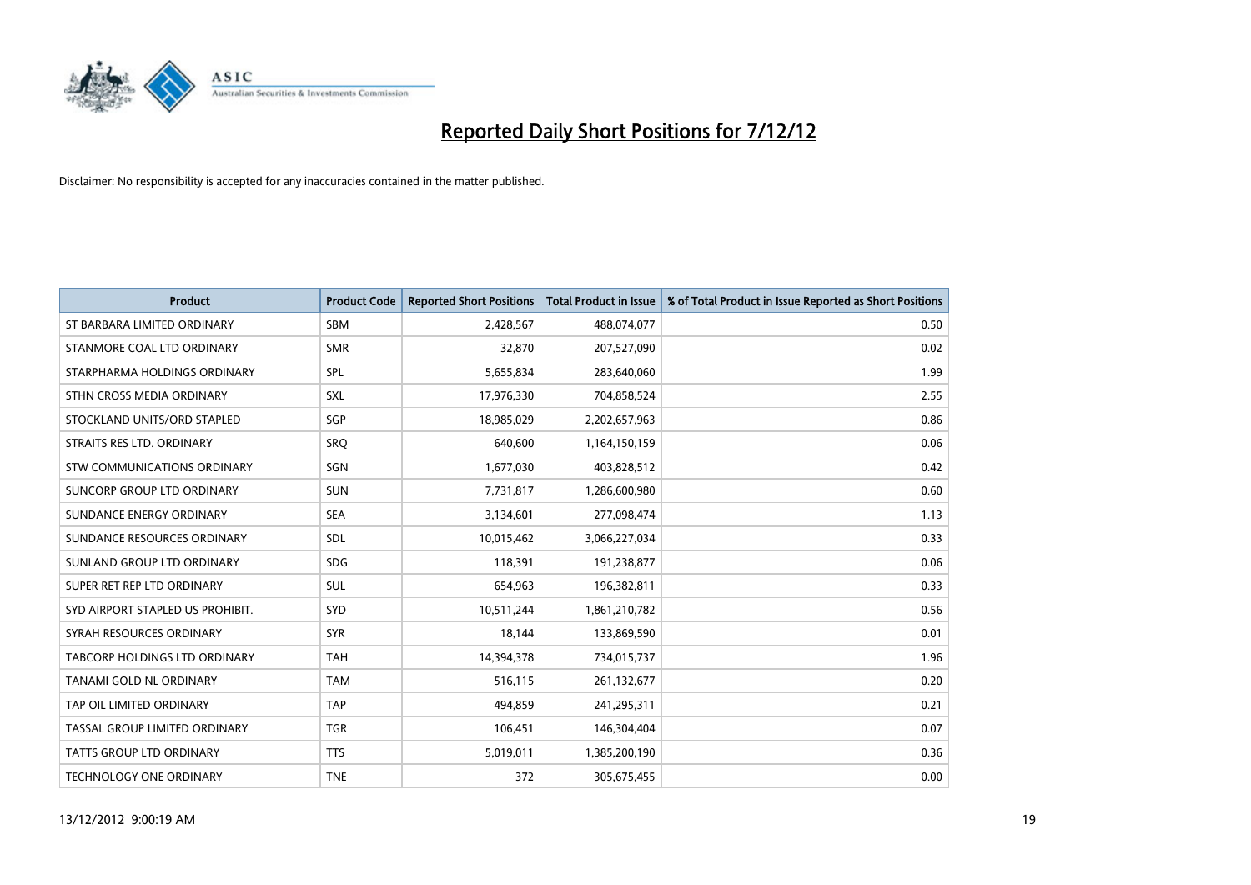

| <b>Product</b>                   | <b>Product Code</b> | <b>Reported Short Positions</b> | <b>Total Product in Issue</b> | % of Total Product in Issue Reported as Short Positions |
|----------------------------------|---------------------|---------------------------------|-------------------------------|---------------------------------------------------------|
| ST BARBARA LIMITED ORDINARY      | <b>SBM</b>          | 2,428,567                       | 488,074,077                   | 0.50                                                    |
| STANMORE COAL LTD ORDINARY       | <b>SMR</b>          | 32,870                          | 207,527,090                   | 0.02                                                    |
| STARPHARMA HOLDINGS ORDINARY     | SPL                 | 5,655,834                       | 283,640,060                   | 1.99                                                    |
| STHN CROSS MEDIA ORDINARY        | SXL                 | 17,976,330                      | 704,858,524                   | 2.55                                                    |
| STOCKLAND UNITS/ORD STAPLED      | SGP                 | 18,985,029                      | 2,202,657,963                 | 0.86                                                    |
| STRAITS RES LTD. ORDINARY        | SRQ                 | 640,600                         | 1,164,150,159                 | 0.06                                                    |
| STW COMMUNICATIONS ORDINARY      | SGN                 | 1,677,030                       | 403,828,512                   | 0.42                                                    |
| SUNCORP GROUP LTD ORDINARY       | <b>SUN</b>          | 7,731,817                       | 1,286,600,980                 | 0.60                                                    |
| SUNDANCE ENERGY ORDINARY         | <b>SEA</b>          | 3,134,601                       | 277,098,474                   | 1.13                                                    |
| SUNDANCE RESOURCES ORDINARY      | <b>SDL</b>          | 10,015,462                      | 3,066,227,034                 | 0.33                                                    |
| SUNLAND GROUP LTD ORDINARY       | <b>SDG</b>          | 118,391                         | 191,238,877                   | 0.06                                                    |
| SUPER RET REP LTD ORDINARY       | <b>SUL</b>          | 654,963                         | 196,382,811                   | 0.33                                                    |
| SYD AIRPORT STAPLED US PROHIBIT. | <b>SYD</b>          | 10,511,244                      | 1,861,210,782                 | 0.56                                                    |
| SYRAH RESOURCES ORDINARY         | <b>SYR</b>          | 18,144                          | 133,869,590                   | 0.01                                                    |
| TABCORP HOLDINGS LTD ORDINARY    | <b>TAH</b>          | 14,394,378                      | 734,015,737                   | 1.96                                                    |
| TANAMI GOLD NL ORDINARY          | <b>TAM</b>          | 516,115                         | 261,132,677                   | 0.20                                                    |
| TAP OIL LIMITED ORDINARY         | <b>TAP</b>          | 494,859                         | 241,295,311                   | 0.21                                                    |
| TASSAL GROUP LIMITED ORDINARY    | <b>TGR</b>          | 106,451                         | 146,304,404                   | 0.07                                                    |
| <b>TATTS GROUP LTD ORDINARY</b>  | <b>TTS</b>          | 5,019,011                       | 1,385,200,190                 | 0.36                                                    |
| <b>TECHNOLOGY ONE ORDINARY</b>   | <b>TNE</b>          | 372                             | 305,675,455                   | 0.00                                                    |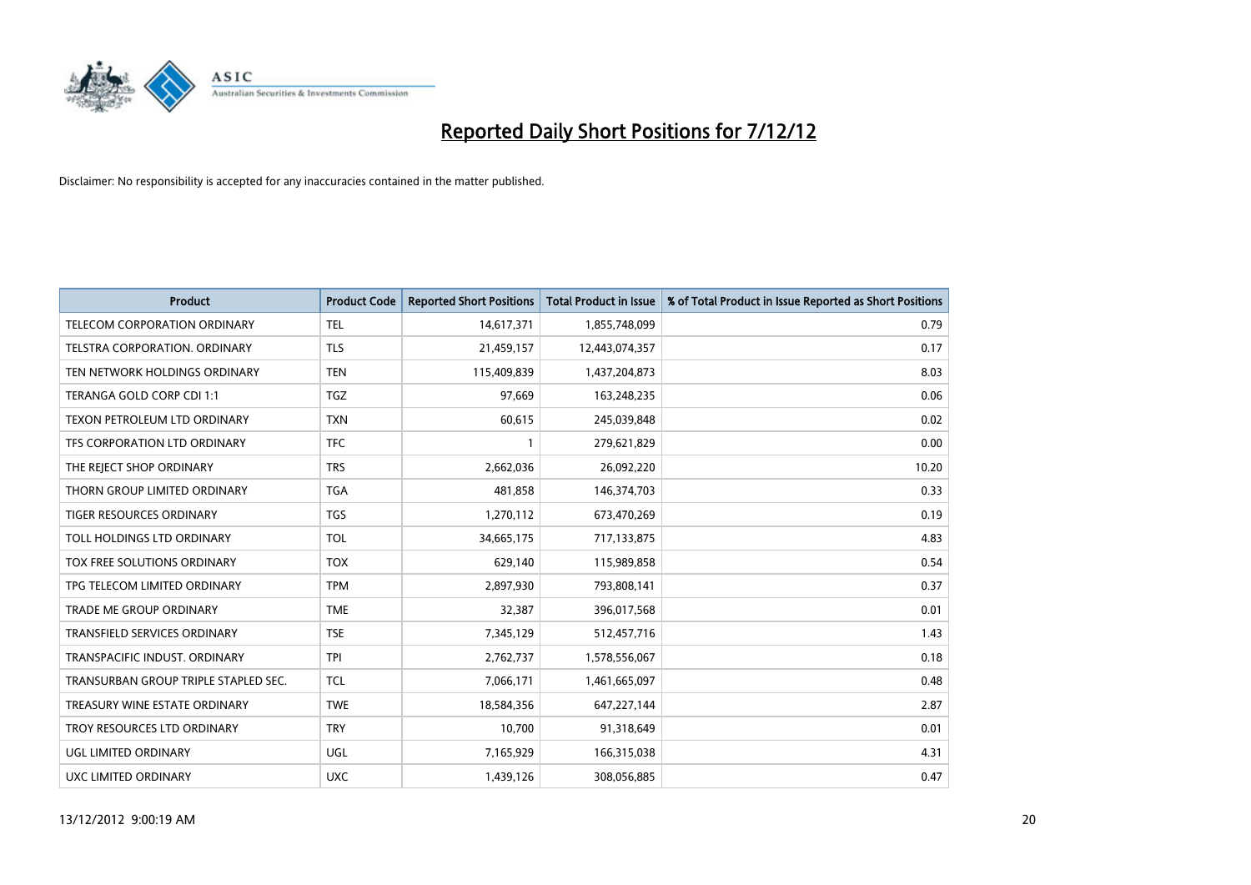

| <b>Product</b>                       | <b>Product Code</b> | <b>Reported Short Positions</b> | <b>Total Product in Issue</b> | % of Total Product in Issue Reported as Short Positions |
|--------------------------------------|---------------------|---------------------------------|-------------------------------|---------------------------------------------------------|
| <b>TELECOM CORPORATION ORDINARY</b>  | <b>TEL</b>          | 14,617,371                      | 1,855,748,099                 | 0.79                                                    |
| TELSTRA CORPORATION. ORDINARY        | <b>TLS</b>          | 21,459,157                      | 12,443,074,357                | 0.17                                                    |
| TEN NETWORK HOLDINGS ORDINARY        | <b>TEN</b>          | 115,409,839                     | 1,437,204,873                 | 8.03                                                    |
| TERANGA GOLD CORP CDI 1:1            | <b>TGZ</b>          | 97,669                          | 163,248,235                   | 0.06                                                    |
| TEXON PETROLEUM LTD ORDINARY         | <b>TXN</b>          | 60,615                          | 245,039,848                   | 0.02                                                    |
| TFS CORPORATION LTD ORDINARY         | <b>TFC</b>          |                                 | 279,621,829                   | 0.00                                                    |
| THE REJECT SHOP ORDINARY             | <b>TRS</b>          | 2,662,036                       | 26,092,220                    | 10.20                                                   |
| THORN GROUP LIMITED ORDINARY         | <b>TGA</b>          | 481,858                         | 146,374,703                   | 0.33                                                    |
| TIGER RESOURCES ORDINARY             | <b>TGS</b>          | 1,270,112                       | 673,470,269                   | 0.19                                                    |
| TOLL HOLDINGS LTD ORDINARY           | <b>TOL</b>          | 34,665,175                      | 717,133,875                   | 4.83                                                    |
| TOX FREE SOLUTIONS ORDINARY          | <b>TOX</b>          | 629,140                         | 115,989,858                   | 0.54                                                    |
| TPG TELECOM LIMITED ORDINARY         | <b>TPM</b>          | 2,897,930                       | 793,808,141                   | 0.37                                                    |
| <b>TRADE ME GROUP ORDINARY</b>       | <b>TME</b>          | 32,387                          | 396,017,568                   | 0.01                                                    |
| <b>TRANSFIELD SERVICES ORDINARY</b>  | <b>TSE</b>          | 7,345,129                       | 512,457,716                   | 1.43                                                    |
| TRANSPACIFIC INDUST, ORDINARY        | <b>TPI</b>          | 2,762,737                       | 1,578,556,067                 | 0.18                                                    |
| TRANSURBAN GROUP TRIPLE STAPLED SEC. | <b>TCL</b>          | 7,066,171                       | 1,461,665,097                 | 0.48                                                    |
| TREASURY WINE ESTATE ORDINARY        | <b>TWE</b>          | 18,584,356                      | 647,227,144                   | 2.87                                                    |
| TROY RESOURCES LTD ORDINARY          | <b>TRY</b>          | 10,700                          | 91,318,649                    | 0.01                                                    |
| UGL LIMITED ORDINARY                 | UGL                 | 7,165,929                       | 166,315,038                   | 4.31                                                    |
| UXC LIMITED ORDINARY                 | <b>UXC</b>          | 1,439,126                       | 308,056,885                   | 0.47                                                    |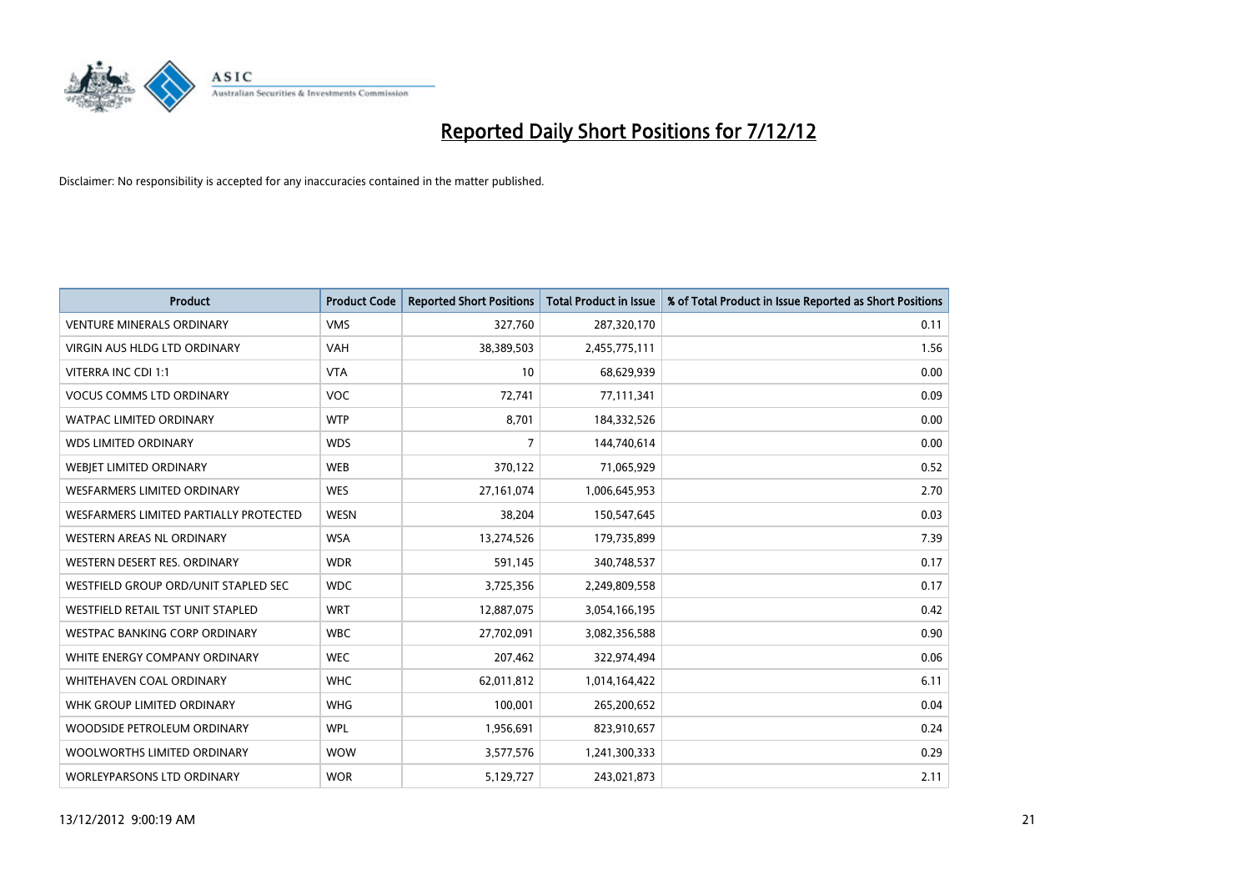

| <b>Product</b>                           | <b>Product Code</b> | <b>Reported Short Positions</b> | <b>Total Product in Issue</b> | % of Total Product in Issue Reported as Short Positions |
|------------------------------------------|---------------------|---------------------------------|-------------------------------|---------------------------------------------------------|
| <b>VENTURE MINERALS ORDINARY</b>         | <b>VMS</b>          | 327,760                         | 287,320,170                   | 0.11                                                    |
| <b>VIRGIN AUS HLDG LTD ORDINARY</b>      | <b>VAH</b>          | 38,389,503                      | 2,455,775,111                 | 1.56                                                    |
| VITERRA INC CDI 1:1                      | <b>VTA</b>          | 10                              | 68,629,939                    | 0.00                                                    |
| <b>VOCUS COMMS LTD ORDINARY</b>          | <b>VOC</b>          | 72,741                          | 77,111,341                    | 0.09                                                    |
| <b>WATPAC LIMITED ORDINARY</b>           | <b>WTP</b>          | 8,701                           | 184,332,526                   | 0.00                                                    |
| <b>WDS LIMITED ORDINARY</b>              | <b>WDS</b>          | 7                               | 144,740,614                   | 0.00                                                    |
| WEBIET LIMITED ORDINARY                  | <b>WEB</b>          | 370,122                         | 71,065,929                    | 0.52                                                    |
| <b>WESFARMERS LIMITED ORDINARY</b>       | <b>WES</b>          | 27,161,074                      | 1,006,645,953                 | 2.70                                                    |
| WESFARMERS LIMITED PARTIALLY PROTECTED   | <b>WESN</b>         | 38,204                          | 150,547,645                   | 0.03                                                    |
| WESTERN AREAS NL ORDINARY                | <b>WSA</b>          | 13,274,526                      | 179,735,899                   | 7.39                                                    |
| WESTERN DESERT RES. ORDINARY             | <b>WDR</b>          | 591,145                         | 340,748,537                   | 0.17                                                    |
| WESTFIELD GROUP ORD/UNIT STAPLED SEC     | <b>WDC</b>          | 3,725,356                       | 2,249,809,558                 | 0.17                                                    |
| <b>WESTFIELD RETAIL TST UNIT STAPLED</b> | <b>WRT</b>          | 12,887,075                      | 3,054,166,195                 | 0.42                                                    |
| <b>WESTPAC BANKING CORP ORDINARY</b>     | <b>WBC</b>          | 27,702,091                      | 3,082,356,588                 | 0.90                                                    |
| WHITE ENERGY COMPANY ORDINARY            | <b>WEC</b>          | 207,462                         | 322,974,494                   | 0.06                                                    |
| WHITEHAVEN COAL ORDINARY                 | <b>WHC</b>          | 62,011,812                      | 1,014,164,422                 | 6.11                                                    |
| WHK GROUP LIMITED ORDINARY               | <b>WHG</b>          | 100,001                         | 265,200,652                   | 0.04                                                    |
| WOODSIDE PETROLEUM ORDINARY              | <b>WPL</b>          | 1,956,691                       | 823,910,657                   | 0.24                                                    |
| WOOLWORTHS LIMITED ORDINARY              | <b>WOW</b>          | 3,577,576                       | 1,241,300,333                 | 0.29                                                    |
| <b>WORLEYPARSONS LTD ORDINARY</b>        | <b>WOR</b>          | 5,129,727                       | 243,021,873                   | 2.11                                                    |